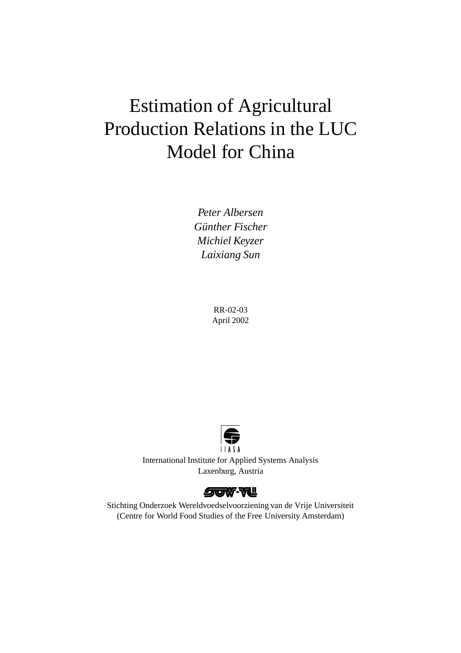# Estimation of Agricultural Production Relations in the LUC Model for China

*Peter Albersen Günther Fischer Michiel Keyzer Laixiang Sun*

> RR-02-03 April 2002



International Institute for Applied Systems Analysis Laxenburg, Austria



Stichting Onderzoek Wereldvoedselvoorziening van de Vrije Universiteit (Centre for World Food Studies of the Free University Amsterdam)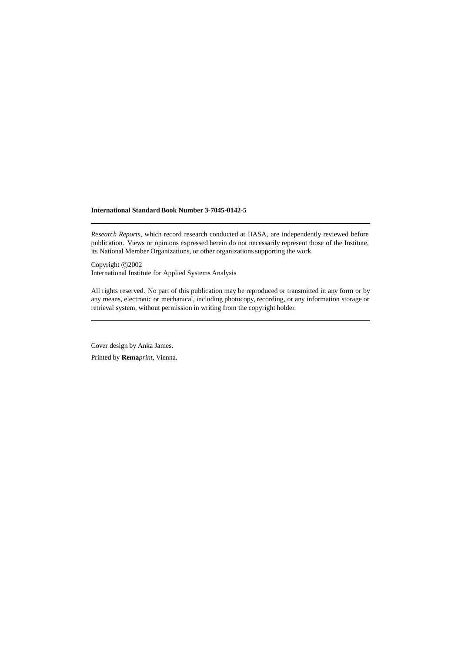#### **International Standard Book Number 3-7045-0142-5**

*Research Reports*, which record research conducted at IIASA, are independently reviewed before publication. Views or opinions expressed herein do not necessarily represent those of the Institute, its National Member Organizations, or other organizations supporting the work.

Copyright  $\odot$  2002 International Institute for Applied Systems Analysis

All rights reserved. No part of this publication may be reproduced or transmitted in any form or by any means, electronic or mechanical, including photocopy, recording, or any information storage or retrieval system, without permission in writing from the copyright holder.

Cover design by Anka James.

Printed by **Rema***print*, Vienna.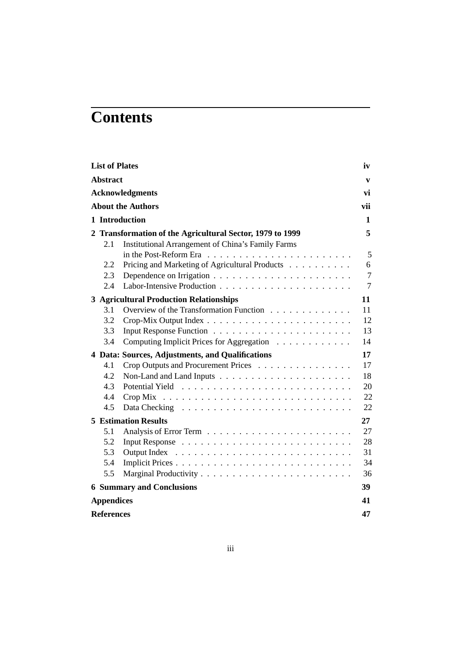# **Contents**

| <b>List of Plates</b>                                                                                                                                              | iv                         |
|--------------------------------------------------------------------------------------------------------------------------------------------------------------------|----------------------------|
| <b>Abstract</b>                                                                                                                                                    | $\mathbf{v}$               |
| <b>Acknowledgments</b>                                                                                                                                             | vi                         |
| <b>About the Authors</b>                                                                                                                                           | vii                        |
| 1 Introduction                                                                                                                                                     | 1                          |
| 2 Transformation of the Agricultural Sector, 1979 to 1999<br><b>Institutional Arrangement of China's Family Farms</b><br>2.1                                       | 5<br>5                     |
| Pricing and Marketing of Agricultural Products<br>2.2<br>2.3<br>2.4                                                                                                | 6<br>$\overline{7}$<br>7   |
| <b>3 Agricultural Production Relationships</b><br>3.1<br>Overview of the Transformation Function<br>3.2<br>3.3<br>Computing Implicit Prices for Aggregation<br>3.4 | 11<br>11<br>12<br>13<br>14 |
| 4 Data: Sources, Adjustments, and Qualifications                                                                                                                   | 17                         |
| 4.1<br>Crop Outputs and Procurement Prices<br>4.2<br>4.3<br>4.4<br>4.5                                                                                             | 17<br>18<br>20<br>22<br>22 |
| <b>5 Estimation Results</b>                                                                                                                                        | $27\,$                     |
| 5.1<br>5.2<br>5.3<br>Output Index<br>5.4<br>5.5                                                                                                                    | 27<br>28<br>31<br>34<br>36 |
| <b>6 Summary and Conclusions</b>                                                                                                                                   | 39                         |
| <b>Appendices</b>                                                                                                                                                  | 41                         |
| <b>References</b>                                                                                                                                                  | 47                         |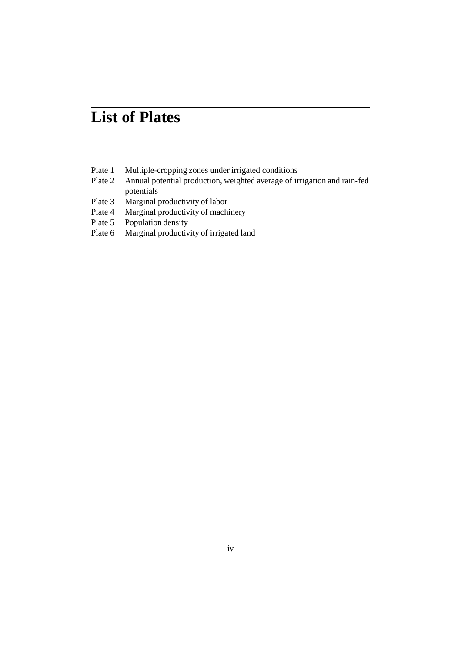## **List of Plates**

- Plate 1 Multiple-cropping zones under irrigated conditions
- Plate 2 Annual potential production, weighted average of irrigation and rain-fed potentials
- Plate 3 Marginal productivity of labor
- Plate 4 Marginal productivity of machinery
- Plate 5 Population density
- Plate 6 Marginal productivity of irrigated land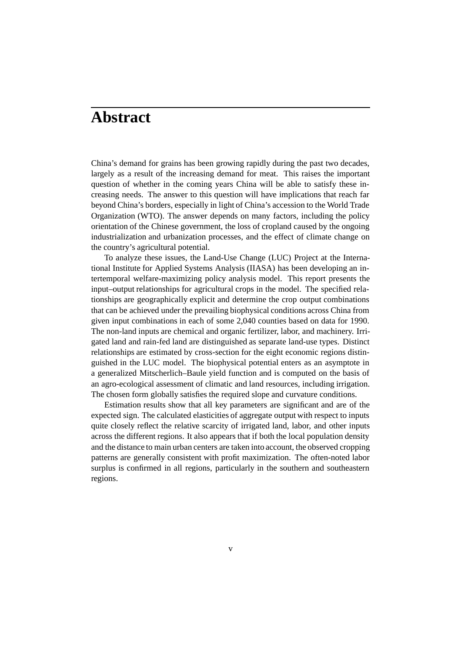## **Abstract**

China's demand for grains has been growing rapidly during the past two decades, largely as a result of the increasing demand for meat. This raises the important question of whether in the coming years China will be able to satisfy these increasing needs. The answer to this question will have implications that reach far beyond China's borders, especially in light of China's accession to the World Trade Organization (WTO). The answer depends on many factors, including the policy orientation of the Chinese government, the loss of cropland caused by the ongoing industrialization and urbanization processes, and the effect of climate change on the country's agricultural potential.

To analyze these issues, the Land-Use Change (LUC) Project at the International Institute for Applied Systems Analysis (IIASA) has been developing an intertemporal welfare-maximizing policy analysis model. This report presents the input–output relationships for agricultural crops in the model. The specified relationships are geographically explicit and determine the crop output combinations that can be achieved under the prevailing biophysical conditions across China from given input combinations in each of some 2,040 counties based on data for 1990. The non-land inputs are chemical and organic fertilizer, labor, and machinery. Irrigated land and rain-fed land are distinguished as separate land-use types. Distinct relationships are estimated by cross-section for the eight economic regions distinguished in the LUC model. The biophysical potential enters as an asymptote in a generalized Mitscherlich–Baule yield function and is computed on the basis of an agro-ecological assessment of climatic and land resources, including irrigation. The chosen form globally satisfies the required slope and curvature conditions.

Estimation results show that all key parameters are significant and are of the expected sign. The calculated elasticities of aggregate output with respect to inputs quite closely reflect the relative scarcity of irrigated land, labor, and other inputs across the different regions. It also appears that if both the local population density and the distance to main urban centers are taken into account, the observed cropping patterns are generally consistent with profit maximization. The often-noted labor surplus is confirmed in all regions, particularly in the southern and southeastern regions.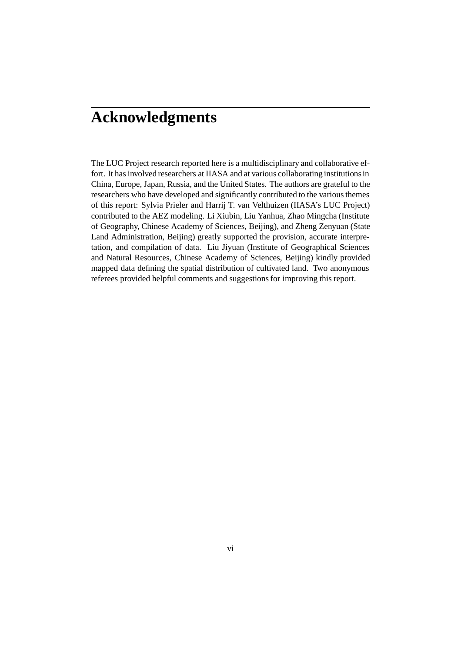## **Acknowledgments**

The LUC Project research reported here is a multidisciplinary and collaborative effort. It has involved researchers at IIASA and at various collaborating institutions in China, Europe, Japan, Russia, and the United States. The authors are grateful to the researchers who have developed and significantly contributed to the various themes of this report: Sylvia Prieler and Harrij T. van Velthuizen (IIASA's LUC Project) contributed to the AEZ modeling. Li Xiubin, Liu Yanhua, Zhao Mingcha (Institute of Geography, Chinese Academy of Sciences, Beijing), and Zheng Zenyuan (State Land Administration, Beijing) greatly supported the provision, accurate interpretation, and compilation of data. Liu Jiyuan (Institute of Geographical Sciences and Natural Resources, Chinese Academy of Sciences, Beijing) kindly provided mapped data defining the spatial distribution of cultivated land. Two anonymous referees provided helpful comments and suggestions for improving this report.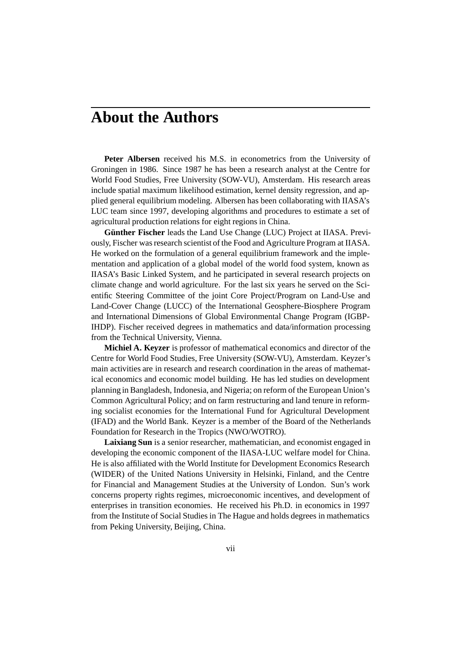### **About the Authors**

**Peter Albersen** received his M.S. in econometrics from the University of Groningen in 1986. Since 1987 he has been a research analyst at the Centre for World Food Studies, Free University (SOW-VU), Amsterdam. His research areas include spatial maximum likelihood estimation, kernel density regression, and applied general equilibrium modeling. Albersen has been collaborating with IIASA's LUC team since 1997, developing algorithms and procedures to estimate a set of agricultural production relations for eight regions in China.

**Günther Fischer** leads the Land Use Change (LUC) Project at IIASA. Previously, Fischer was research scientist of the Food and Agriculture Program at IIASA. He worked on the formulation of a general equilibrium framework and the implementation and application of a global model of the world food system, known as IIASA's Basic Linked System, and he participated in several research projects on climate change and world agriculture. For the last six years he served on the Scientific Steering Committee of the joint Core Project/Program on Land-Use and Land-Cover Change (LUCC) of the International Geosphere-Biosphere Program and International Dimensions of Global Environmental Change Program (IGBP-IHDP). Fischer received degrees in mathematics and data/information processing from the Technical University, Vienna.

**Michiel A. Keyzer** is professor of mathematical economics and director of the Centre for World Food Studies, Free University (SOW-VU), Amsterdam. Keyzer's main activities are in research and research coordination in the areas of mathematical economics and economic model building. He has led studies on development planning in Bangladesh, Indonesia, and Nigeria; on reform of the European Union's Common Agricultural Policy; and on farm restructuring and land tenure in reforming socialist economies for the International Fund for Agricultural Development (IFAD) and the World Bank. Keyzer is a member of the Board of the Netherlands Foundation for Research in the Tropics (NWO/WOTRO).

**Laixiang Sun** is a senior researcher, mathematician, and economist engaged in developing the economic component of the IIASA-LUC welfare model for China. He is also affiliated with the World Institute for Development Economics Research (WIDER) of the United Nations University in Helsinki, Finland, and the Centre for Financial and Management Studies at the University of London. Sun's work concerns property rights regimes, microeconomic incentives, and development of enterprises in transition economies. He received his Ph.D. in economics in 1997 from the Institute of Social Studies in The Hague and holds degrees in mathematics from Peking University, Beijing, China.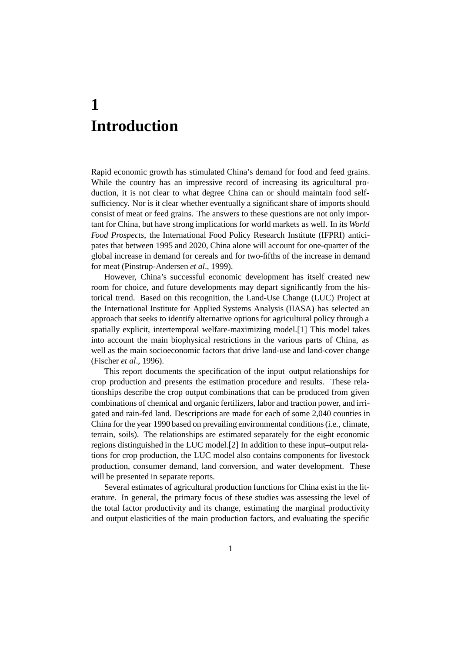## **1 Introduction**

Rapid economic growth has stimulated China's demand for food and feed grains. While the country has an impressive record of increasing its agricultural production, it is not clear to what degree China can or should maintain food selfsufficiency. Nor is it clear whether eventually a significant share of imports should consist of meat or feed grains. The answers to these questions are not only important for China, but have strong implications for world markets as well. In its *World Food Prospects*, the International Food Policy Research Institute (IFPRI) anticipates that between 1995 and 2020, China alone will account for one-quarter of the global increase in demand for cereals and for two-fifths of the increase in demand for meat (Pinstrup-Andersen *et al*., 1999).

However, China's successful economic development has itself created new room for choice, and future developments may depart significantly from the historical trend. Based on this recognition, the Land-Use Change (LUC) Project at the International Institute for Applied Systems Analysis (IIASA) has selected an approach that seeks to identify alternative options for agricultural policy through a spatially explicit, intertemporal welfare-maximizing model.[1] This model takes into account the main biophysical restrictions in the various parts of China, as well as the main socioeconomic factors that drive land-use and land-cover change (Fischer *et al*., 1996).

This report documents the specification of the input–output relationships for crop production and presents the estimation procedure and results. These relationships describe the crop output combinations that can be produced from given combinations of chemical and organic fertilizers, labor and traction power, and irrigated and rain-fed land. Descriptions are made for each of some 2,040 counties in China for the year 1990 based on prevailing environmental conditions (i.e., climate, terrain, soils). The relationships are estimated separately for the eight economic regions distinguished in the LUC model.[2] In addition to these input–output relations for crop production, the LUC model also contains components for livestock production, consumer demand, land conversion, and water development. These will be presented in separate reports.

Several estimates of agricultural production functions for China exist in the literature. In general, the primary focus of these studies was assessing the level of the total factor productivity and its change, estimating the marginal productivity and output elasticities of the main production factors, and evaluating the specific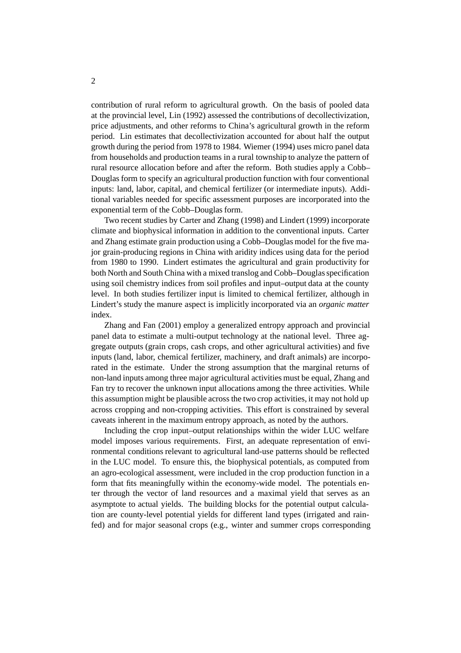contribution of rural reform to agricultural growth. On the basis of pooled data at the provincial level, Lin (1992) assessed the contributions of decollectivization, price adjustments, and other reforms to China's agricultural growth in the reform period. Lin estimates that decollectivization accounted for about half the output growth during the period from 1978 to 1984. Wiemer (1994) uses micro panel data from households and production teams in a rural township to analyze the pattern of rural resource allocation before and after the reform. Both studies apply a Cobb– Douglas form to specify an agricultural production function with four conventional inputs: land, labor, capital, and chemical fertilizer (or intermediate inputs). Additional variables needed for specific assessment purposes are incorporated into the exponential term of the Cobb–Douglas form.

Two recent studies by Carter and Zhang (1998) and Lindert (1999) incorporate climate and biophysical information in addition to the conventional inputs. Carter and Zhang estimate grain production using a Cobb–Douglas model for the five major grain-producing regions in China with aridity indices using data for the period from 1980 to 1990. Lindert estimates the agricultural and grain productivity for both North and South China with a mixed translog and Cobb–Douglas specification using soil chemistry indices from soil profiles and input–output data at the county level. In both studies fertilizer input is limited to chemical fertilizer, although in Lindert's study the manure aspect is implicitly incorporated via an *organic matter* index.

Zhang and Fan (2001) employ a generalized entropy approach and provincial panel data to estimate a multi-output technology at the national level. Three aggregate outputs (grain crops, cash crops, and other agricultural activities) and five inputs (land, labor, chemical fertilizer, machinery, and draft animals) are incorporated in the estimate. Under the strong assumption that the marginal returns of non-land inputs among three major agricultural activities must be equal, Zhang and Fan try to recover the unknown input allocations among the three activities. While this assumption might be plausible across the two crop activities, it may not hold up across cropping and non-cropping activities. This effort is constrained by several caveats inherent in the maximum entropy approach, as noted by the authors.

Including the crop input–output relationships within the wider LUC welfare model imposes various requirements. First, an adequate representation of environmental conditions relevant to agricultural land-use patterns should be reflected in the LUC model. To ensure this, the biophysical potentials, as computed from an agro-ecological assessment, were included in the crop production function in a form that fits meaningfully within the economy-wide model. The potentials enter through the vector of land resources and a maximal yield that serves as an asymptote to actual yields. The building blocks for the potential output calculation are county-level potential yields for different land types (irrigated and rainfed) and for major seasonal crops (e.g., winter and summer crops corresponding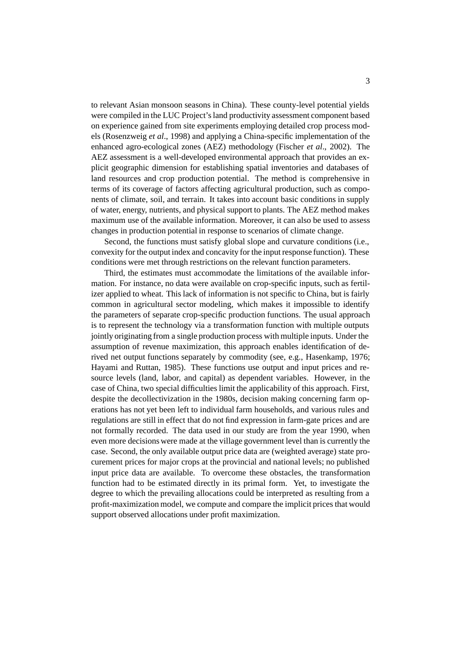to relevant Asian monsoon seasons in China). These county-level potential yields were compiled in the LUC Project's land productivity assessment component based on experience gained from site experiments employing detailed crop process models (Rosenzweig *et al*., 1998) and applying a China-specific implementation of the enhanced agro-ecological zones (AEZ) methodology (Fischer *et al*., 2002). The AEZ assessment is a well-developed environmental approach that provides an explicit geographic dimension for establishing spatial inventories and databases of land resources and crop production potential. The method is comprehensive in terms of its coverage of factors affecting agricultural production, such as components of climate, soil, and terrain. It takes into account basic conditions in supply of water, energy, nutrients, and physical support to plants. The AEZ method makes maximum use of the available information. Moreover, it can also be used to assess changes in production potential in response to scenarios of climate change.

Second, the functions must satisfy global slope and curvature conditions (i.e., convexity for the output index and concavity for the input response function). These conditions were met through restrictions on the relevant function parameters.

Third, the estimates must accommodate the limitations of the available information. For instance, no data were available on crop-specific inputs, such as fertilizer applied to wheat. This lack of information is not specific to China, but is fairly common in agricultural sector modeling, which makes it impossible to identify the parameters of separate crop-specific production functions. The usual approach is to represent the technology via a transformation function with multiple outputs jointly originating from a single production process with multiple inputs. Under the assumption of revenue maximization, this approach enables identification of derived net output functions separately by commodity (see, e.g., Hasenkamp, 1976; Hayami and Ruttan, 1985). These functions use output and input prices and resource levels (land, labor, and capital) as dependent variables. However, in the case of China, two special difficulties limit the applicability of this approach. First, despite the decollectivization in the 1980s, decision making concerning farm operations has not yet been left to individual farm households, and various rules and regulations are still in effect that do not find expression in farm-gate prices and are not formally recorded. The data used in our study are from the year 1990, when even more decisions were made at the village government level than is currently the case. Second, the only available output price data are (weighted average) state procurement prices for major crops at the provincial and national levels; no published input price data are available. To overcome these obstacles, the transformation function had to be estimated directly in its primal form. Yet, to investigate the degree to which the prevailing allocations could be interpreted as resulting from a profit-maximization model, we compute and compare the implicit prices that would support observed allocations under profit maximization.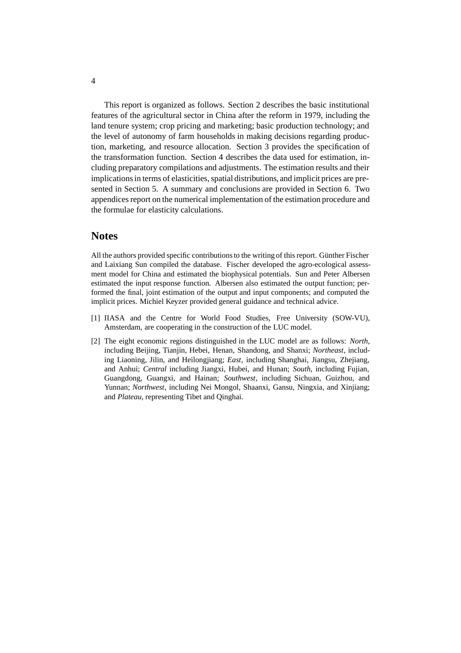This report is organized as follows. Section 2 describes the basic institutional features of the agricultural sector in China after the reform in 1979, including the land tenure system; crop pricing and marketing; basic production technology; and the level of autonomy of farm households in making decisions regarding production, marketing, and resource allocation. Section 3 provides the specification of the transformation function. Section 4 describes the data used for estimation, including preparatory compilations and adjustments. The estimation results and their implications in terms of elasticities, spatial distributions, and implicit prices are presented in Section 5. A summary and conclusions are provided in Section 6. Two appendices report on the numerical implementation of the estimation procedure and the formulae for elasticity calculations.

#### **Notes**

All the authors provided specific contributions to the writing of this report. Günther Fischer and Laixiang Sun compiled the database. Fischer developed the agro-ecological assessment model for China and estimated the biophysical potentials. Sun and Peter Albersen estimated the input response function. Albersen also estimated the output function; performed the final, joint estimation of the output and input components; and computed the implicit prices. Michiel Keyzer provided general guidance and technical advice.

- [1] IIASA and the Centre for World Food Studies, Free University (SOW-VU), Amsterdam, are cooperating in the construction of the LUC model.
- [2] The eight economic regions distinguished in the LUC model are as follows: *North*, including Beijing, Tianjin, Hebei, Henan, Shandong, and Shanxi; *Northeast*, including Liaoning, Jilin, and Heilongjiang; *East*, including Shanghai, Jiangsu, Zhejiang, and Anhui; *Central* including Jiangxi, Hubei, and Hunan; *South*, including Fujian, Guangdong, Guangxi, and Hainan; *Southwest*, including Sichuan, Guizhou, and Yunnan; *Northwest*, including Nei Mongol, Shaanxi, Gansu, Ningxia, and Xinjiang; and *Plateau*, representing Tibet and Qinghai.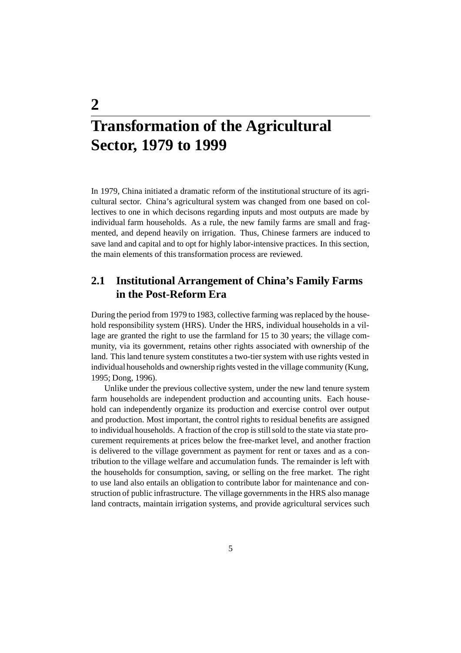# **Transformation of the Agricultural Sector, 1979 to 1999**

**2**

In 1979, China initiated a dramatic reform of the institutional structure of its agricultural sector. China's agricultural system was changed from one based on collectives to one in which decisons regarding inputs and most outputs are made by individual farm households. As a rule, the new family farms are small and fragmented, and depend heavily on irrigation. Thus, Chinese farmers are induced to save land and capital and to opt for highly labor-intensive practices. In this section, the main elements of this transformation process are reviewed.

### **2.1 Institutional Arrangement of China's Family Farms in the Post-Reform Era**

During the period from 1979 to 1983, collective farming was replaced by the household responsibility system (HRS). Under the HRS, individual households in a village are granted the right to use the farmland for 15 to 30 years; the village community, via its government, retains other rights associated with ownership of the land. This land tenure system constitutes a two-tier system with use rights vested in individual households and ownership rights vested in the village community (Kung, 1995; Dong, 1996).

Unlike under the previous collective system, under the new land tenure system farm households are independent production and accounting units. Each household can independently organize its production and exercise control over output and production. Most important, the control rights to residual benefits are assigned to individual households. A fraction of the crop is still sold to the state via state procurement requirements at prices below the free-market level, and another fraction is delivered to the village government as payment for rent or taxes and as a contribution to the village welfare and accumulation funds. The remainder is left with the households for consumption, saving, or selling on the free market. The right to use land also entails an obligation to contribute labor for maintenance and construction of public infrastructure. The village governments in the HRS also manage land contracts, maintain irrigation systems, and provide agricultural services such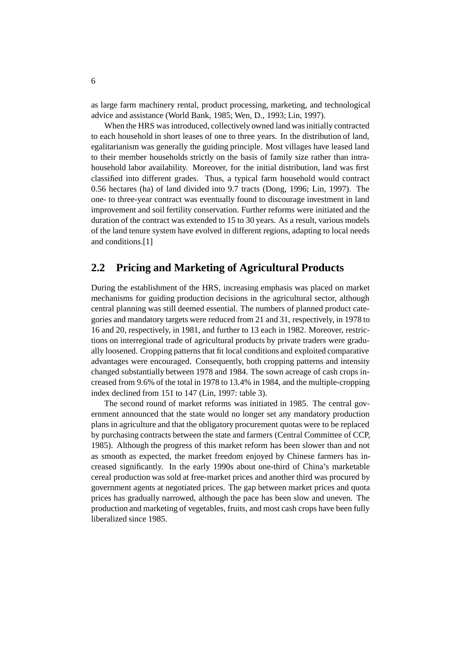as large farm machinery rental, product processing, marketing, and technological advice and assistance (World Bank, 1985; Wen, D., 1993; Lin, 1997).

When the HRS was introduced, collectively owned land was initially contracted to each household in short leases of one to three years. In the distribution of land, egalitarianism was generally the guiding principle. Most villages have leased land to their member households strictly on the basis of family size rather than intrahousehold labor availability. Moreover, for the initial distribution, land was first classified into different grades. Thus, a typical farm household would contract 0.56 hectares (ha) of land divided into 9.7 tracts (Dong, 1996; Lin, 1997). The one- to three-year contract was eventually found to discourage investment in land improvement and soil fertility conservation. Further reforms were initiated and the duration of the contract was extended to 15 to 30 years. As a result, various models of the land tenure system have evolved in different regions, adapting to local needs and conditions.[1]

#### **2.2 Pricing and Marketing of Agricultural Products**

During the establishment of the HRS, increasing emphasis was placed on market mechanisms for guiding production decisions in the agricultural sector, although central planning was still deemed essential. The numbers of planned product categories and mandatory targets were reduced from 21 and 31, respectively, in 1978 to 16 and 20, respectively, in 1981, and further to 13 each in 1982. Moreover, restrictions on interregional trade of agricultural products by private traders were gradually loosened. Cropping patterns that fit local conditions and exploited comparative advantages were encouraged. Consequently, both cropping patterns and intensity changed substantially between 1978 and 1984. The sown acreage of cash crops increased from 9.6% of the total in 1978 to 13.4% in 1984, and the multiple-cropping index declined from 151 to 147 (Lin, 1997: table 3).

The second round of market reforms was initiated in 1985. The central government announced that the state would no longer set any mandatory production plans in agriculture and that the obligatory procurement quotas were to be replaced by purchasing contracts between the state and farmers (Central Committee of CCP, 1985). Although the progress of this market reform has been slower than and not as smooth as expected, the market freedom enjoyed by Chinese farmers has increased significantly. In the early 1990s about one-third of China's marketable cereal production was sold at free-market prices and another third was procured by government agents at negotiated prices. The gap between market prices and quota prices has gradually narrowed, although the pace has been slow and uneven. The production and marketing of vegetables, fruits, and most cash crops have been fully liberalized since 1985.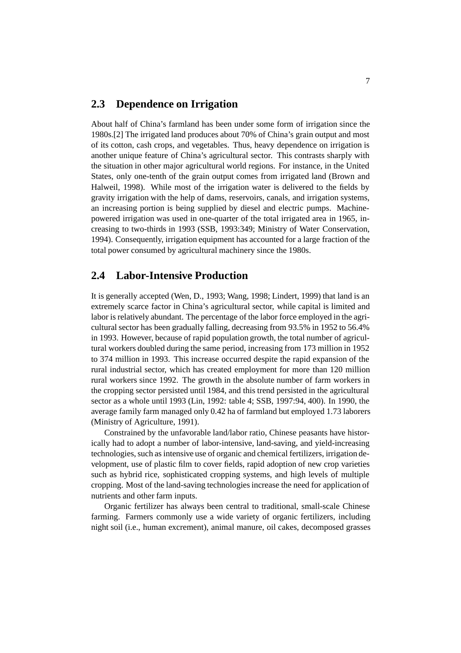#### **2.3 Dependence on Irrigation**

About half of China's farmland has been under some form of irrigation since the 1980s.[2] The irrigated land produces about 70% of China's grain output and most of its cotton, cash crops, and vegetables. Thus, heavy dependence on irrigation is another unique feature of China's agricultural sector. This contrasts sharply with the situation in other major agricultural world regions. For instance, in the United States, only one-tenth of the grain output comes from irrigated land (Brown and Halweil, 1998). While most of the irrigation water is delivered to the fields by gravity irrigation with the help of dams, reservoirs, canals, and irrigation systems, an increasing portion is being supplied by diesel and electric pumps. Machinepowered irrigation was used in one-quarter of the total irrigated area in 1965, increasing to two-thirds in 1993 (SSB, 1993:349; Ministry of Water Conservation, 1994). Consequently, irrigation equipment has accounted for a large fraction of the total power consumed by agricultural machinery since the 1980s.

#### **2.4 Labor-Intensive Production**

It is generally accepted (Wen, D., 1993; Wang, 1998; Lindert, 1999) that land is an extremely scarce factor in China's agricultural sector, while capital is limited and labor is relatively abundant. The percentage of the labor force employed in the agricultural sector has been gradually falling, decreasing from 93.5% in 1952 to 56.4% in 1993. However, because of rapid population growth, the total number of agricultural workers doubled during the same period, increasing from 173 million in 1952 to 374 million in 1993. This increase occurred despite the rapid expansion of the rural industrial sector, which has created employment for more than 120 million rural workers since 1992. The growth in the absolute number of farm workers in the cropping sector persisted until 1984, and this trend persisted in the agricultural sector as a whole until 1993 (Lin, 1992: table 4; SSB, 1997:94, 400). In 1990, the average family farm managed only 0.42 ha of farmland but employed 1.73 laborers (Ministry of Agriculture, 1991).

Constrained by the unfavorable land/labor ratio, Chinese peasants have historically had to adopt a number of labor-intensive, land-saving, and yield-increasing technologies, such as intensive use of organic and chemical fertilizers, irrigation development, use of plastic film to cover fields, rapid adoption of new crop varieties such as hybrid rice, sophisticated cropping systems, and high levels of multiple cropping. Most of the land-saving technologies increase the need for application of nutrients and other farm inputs.

Organic fertilizer has always been central to traditional, small-scale Chinese farming. Farmers commonly use a wide variety of organic fertilizers, including night soil (i.e., human excrement), animal manure, oil cakes, decomposed grasses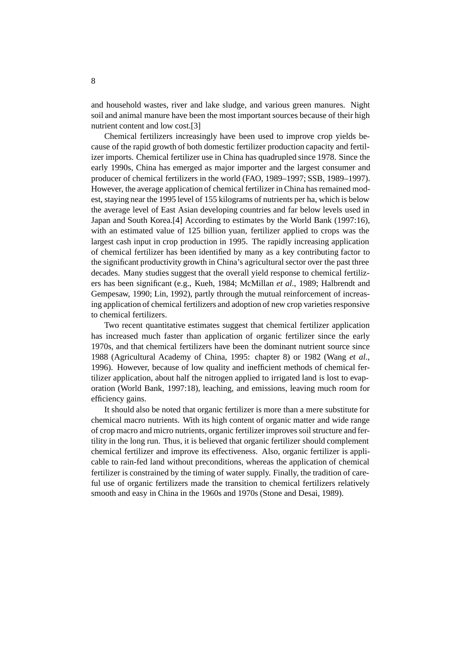and household wastes, river and lake sludge, and various green manures. Night soil and animal manure have been the most important sources because of their high nutrient content and low cost.[3]

Chemical fertilizers increasingly have been used to improve crop yields because of the rapid growth of both domestic fertilizer production capacity and fertilizer imports. Chemical fertilizer use in China has quadrupled since 1978. Since the early 1990s, China has emerged as major importer and the largest consumer and producer of chemical fertilizers in the world (FAO, 1989–1997; SSB, 1989–1997). However, the average application of chemical fertilizer in China has remained modest, staying near the 1995 level of 155 kilograms of nutrients per ha, which is below the average level of East Asian developing countries and far below levels used in Japan and South Korea.[4] According to estimates by the World Bank (1997:16), with an estimated value of 125 billion yuan, fertilizer applied to crops was the largest cash input in crop production in 1995. The rapidly increasing application of chemical fertilizer has been identified by many as a key contributing factor to the significant productivity growth in China's agricultural sector over the past three decades. Many studies suggest that the overall yield response to chemical fertilizers has been significant (e.g., Kueh, 1984; McMillan *et al*., 1989; Halbrendt and Gempesaw, 1990; Lin, 1992), partly through the mutual reinforcement of increasing application of chemical fertilizers and adoption of new crop varieties responsive to chemical fertilizers.

Two recent quantitative estimates suggest that chemical fertilizer application has increased much faster than application of organic fertilizer since the early 1970s, and that chemical fertilizers have been the dominant nutrient source since 1988 (Agricultural Academy of China, 1995: chapter 8) or 1982 (Wang *et al*., 1996). However, because of low quality and inefficient methods of chemical fertilizer application, about half the nitrogen applied to irrigated land is lost to evaporation (World Bank, 1997:18), leaching, and emissions, leaving much room for efficiency gains.

It should also be noted that organic fertilizer is more than a mere substitute for chemical macro nutrients. With its high content of organic matter and wide range of crop macro and micro nutrients, organic fertilizer improves soil structure and fertility in the long run. Thus, it is believed that organic fertilizer should complement chemical fertilizer and improve its effectiveness. Also, organic fertilizer is applicable to rain-fed land without preconditions, whereas the application of chemical fertilizer is constrained by the timing of water supply. Finally, the tradition of careful use of organic fertilizers made the transition to chemical fertilizers relatively smooth and easy in China in the 1960s and 1970s (Stone and Desai, 1989).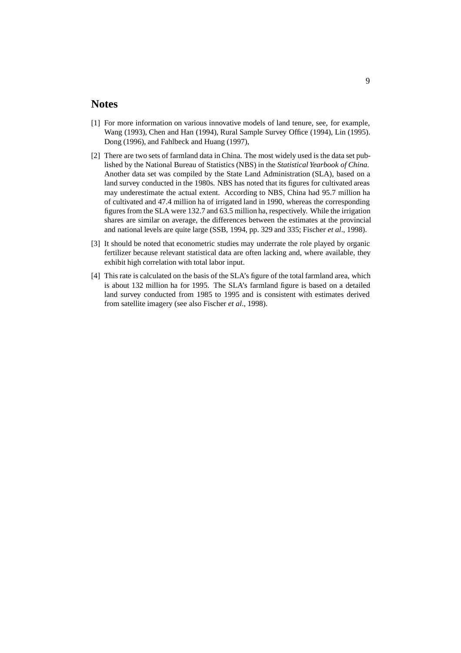#### **Notes**

- [1] For more information on various innovative models of land tenure, see, for example, Wang (1993), Chen and Han (1994), Rural Sample Survey Office (1994), Lin (1995). Dong (1996), and Fahlbeck and Huang (1997),
- [2] There are two sets of farmland data in China. The most widely used is the data set published by the National Bureau of Statistics (NBS) in the *Statistical Yearbook of China*. Another data set was compiled by the State Land Administration (SLA), based on a land survey conducted in the 1980s. NBS has noted that its figures for cultivated areas may underestimate the actual extent. According to NBS, China had 95.7 million ha of cultivated and 47.4 million ha of irrigated land in 1990, whereas the corresponding figures from the SLA were 132.7 and 63.5 million ha, respectively. While the irrigation shares are similar on average, the differences between the estimates at the provincial and national levels are quite large (SSB, 1994, pp. 329 and 335; Fischer *et al*., 1998).
- [3] It should be noted that econometric studies may underrate the role played by organic fertilizer because relevant statistical data are often lacking and, where available, they exhibit high correlation with total labor input.
- [4] This rate is calculated on the basis of the SLA's figure of the total farmland area, which is about 132 million ha for 1995. The SLA's farmland figure is based on a detailed land survey conducted from 1985 to 1995 and is consistent with estimates derived from satellite imagery (see also Fischer *et al*., 1998).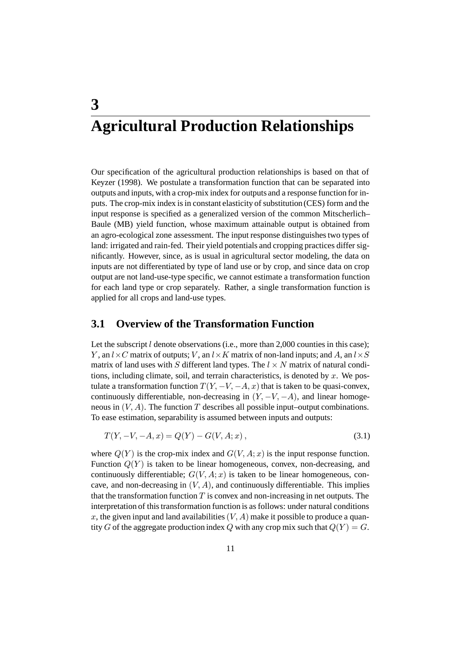## **3 Agricultural Production Relationships**

Our specification of the agricultural production relationships is based on that of Keyzer (1998). We postulate a transformation function that can be separated into outputs and inputs, with a crop-mix index for outputs and a response function for inputs. The crop-mix index is in constant elasticity of substitution (CES) form and the input response is specified as a generalized version of the common Mitscherlich– Baule (MB) yield function, whose maximum attainable output is obtained from an agro-ecological zone assessment. The input response distinguishes two types of land: irrigated and rain-fed. Their yield potentials and cropping practices differ significantly. However, since, as is usual in agricultural sector modeling, the data on inputs are not differentiated by type of land use or by crop, and since data on crop output are not land-use-type specific, we cannot estimate a transformation function for each land type or crop separately. Rather, a single transformation function is applied for all crops and land-use types.

#### **3.1 Overview of the Transformation Function**

Let the subscript  $l$  denote observations (i.e., more than 2,000 counties in this case); Y, an  $l \times C$  matrix of outputs; V, an  $l \times K$  matrix of non-land inputs; and A, an  $l \times S$ matrix of land uses with S different land types. The  $l \times N$  matrix of natural conditions, including climate, soil, and terrain characteristics, is denoted by  $x$ . We postulate a transformation function  $T(Y, -V, -A, x)$  that is taken to be quasi-convex, continuously differentiable, non-decreasing in  $(Y, -V, -A)$ , and linear homogeneous in  $(V, A)$ . The function T describes all possible input–output combinations. To ease estimation, separability is assumed between inputs and outputs:

$$
T(Y, -V, -A, x) = Q(Y) - G(V, A; x),
$$
\n(3.1)

where  $Q(Y)$  is the crop-mix index and  $G(V, A; x)$  is the input response function. Function  $Q(Y)$  is taken to be linear homogeneous, convex, non-decreasing, and continuously differentiable;  $G(V, A; x)$  is taken to be linear homogeneous, concave, and non-decreasing in  $(V, A)$ , and continuously differentiable. This implies that the transformation function  $T$  is convex and non-increasing in net outputs. The interpretation of this transformation function is as follows: under natural conditions x, the given input and land availabilities  $(V, A)$  make it possible to produce a quantity G of the aggregate production index Q with any crop mix such that  $Q(Y) = G$ .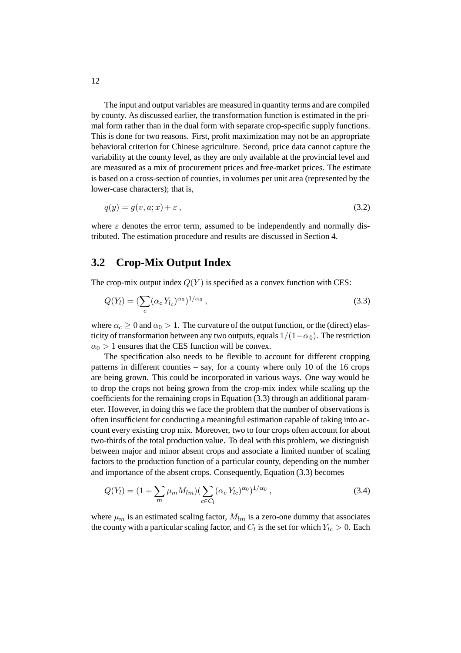The input and output variables are measured in quantity terms and are compiled by county. As discussed earlier, the transformation function is estimated in the primal form rather than in the dual form with separate crop-specific supply functions. This is done for two reasons. First, profit maximization may not be an appropriate behavioral criterion for Chinese agriculture. Second, price data cannot capture the variability at the county level, as they are only available at the provincial level and are measured as a mix of procurement prices and free-market prices. The estimate is based on a cross-section of counties, in volumes per unit area (represented by the lower-case characters); that is,

$$
q(y) = g(v, a; x) + \varepsilon \tag{3.2}
$$

where  $\varepsilon$  denotes the error term, assumed to be independently and normally distributed. The estimation procedure and results are discussed in Section 4.

#### **3.2 Crop-Mix Output Index**

The crop-mix output index  $Q(Y)$  is specified as a convex function with CES:

$$
Q(Y_l) = \left(\sum_c (\alpha_c Y_{l_c})^{\alpha_0}\right)^{1/\alpha_0},\tag{3.3}
$$

where  $\alpha_c \geq 0$  and  $\alpha_0 > 1$ . The curvature of the output function, or the (direct) elasticity of transformation between any two outputs, equals  $1/(1-\alpha_0)$ . The restriction  $\alpha_0 > 1$  ensures that the CES function will be convex.

The specification also needs to be flexible to account for different cropping patterns in different counties – say, for a county where only 10 of the 16 crops are being grown. This could be incorporated in various ways. One way would be to drop the crops not being grown from the crop-mix index while scaling up the coefficients for the remaining crops in Equation (3.3) through an additional parameter. However, in doing this we face the problem that the number of observations is often insufficient for conducting a meaningful estimation capable of taking into account every existing crop mix. Moreover, two to four crops often account for about two-thirds of the total production value. To deal with this problem, we distinguish between major and minor absent crops and associate a limited number of scaling factors to the production function of a particular county, depending on the number and importance of the absent crops. Consequently, Equation (3.3) becomes

$$
Q(Y_l) = (1 + \sum_{m} \mu_m M_{lm}) (\sum_{c \in C_l} (\alpha_c Y_{lc})^{\alpha_0})^{1/\alpha_0}, \qquad (3.4)
$$

where  $\mu_m$  is an estimated scaling factor,  $M_{lm}$  is a zero-one dummy that associates the county with a particular scaling factor, and  $C_l$  is the set for which  $Y_{lc} > 0$ . Each

12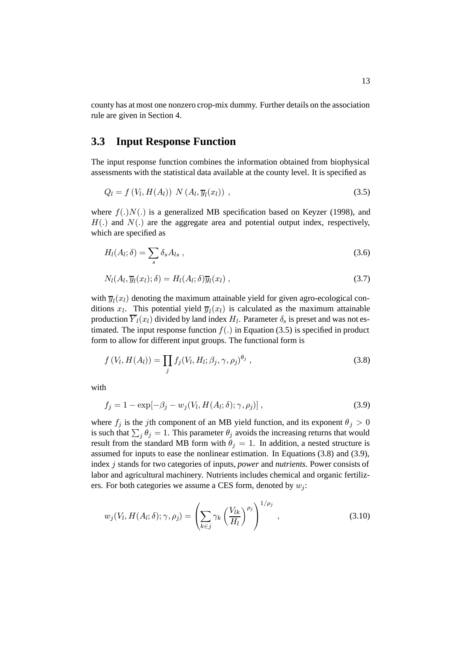county has at most one nonzero crop-mix dummy. Further details on the association rule are given in Section 4.

#### **3.3 Input Response Function**

The input response function combines the information obtained from biophysical assessments with the statistical data available at the county level. It is specified as

$$
Q_l = f(V_l, H(A_l)) N(A_l, \overline{y}_l(x_l)) , \qquad (3.5)
$$

where  $f(.)N(.)$  is a generalized MB specification based on Keyzer (1998), and  $H(.)$  and  $N(.)$  are the aggregate area and potential output index, respectively, which are specified as

$$
H_l(A_l; \delta) = \sum_s \delta_s A_{ls} , \qquad (3.6)
$$

$$
N_l(A_l, \overline{y}_l(x_l); \delta) = H_l(A_l; \delta) \overline{y}_l(x_l) , \qquad (3.7)
$$

with  $\overline{y}_l(x_l)$  denoting the maximum attainable yield for given agro-ecological conditions  $x_l$ . This potential yield  $\overline{y}_l(x_l)$  is calculated as the maximum attainable production  $\overline{Y}_l(x_l)$  divided by land index  $H_l$ . Parameter  $\delta_s$  is preset and was not estimated. The input response function  $f(.)$  in Equation (3.5) is specified in product form to allow for different input groups. The functional form is

$$
f(V_l, H(A_l)) = \prod_j f_j(V_l, H_l; \beta_j, \gamma, \rho_j)^{\theta_j}, \qquad (3.8)
$$

with

$$
f_j = 1 - \exp[-\beta_j - w_j(V_l, H(A_l; \delta); \gamma, \rho_j)], \qquad (3.9)
$$

where  $f_j$  is the jth component of an MB yield function, and its exponent  $\theta_j > 0$ is such that  $\sum_j \theta_j = 1$ . This parameter  $\theta_j$  avoids the increasing returns that would result from the standard MB form with  $\theta_i = 1$ . In addition, a nested structure is assumed for inputs to ease the nonlinear estimation. In Equations (3.8) and (3.9), index j stands for two categories of inputs, *power* and *nutrients*. Power consists of labor and agricultural machinery. Nutrients includes chemical and organic fertilizers. For both categories we assume a CES form, denoted by  $w_i$ :

$$
w_j(V_l, H(A_l; \delta); \gamma, \rho_j) = \left(\sum_{k \in j} \gamma_k \left(\frac{V_{lk}}{H_l}\right)^{\rho_j}\right)^{1/\rho_j}, \qquad (3.10)
$$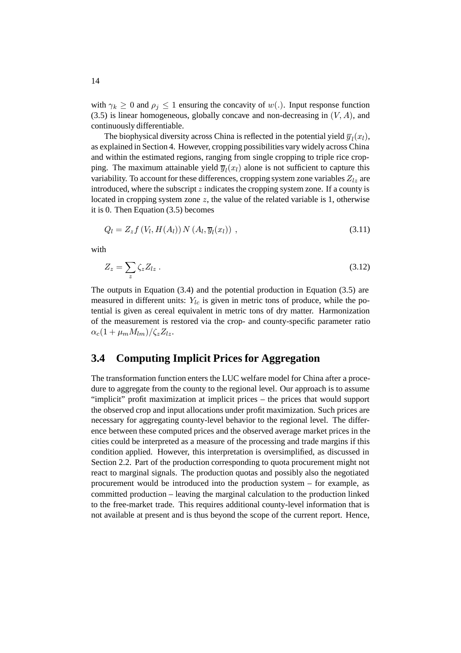with  $\gamma_k \geq 0$  and  $\rho_j \leq 1$  ensuring the concavity of  $w(.)$ . Input response function  $(3.5)$  is linear homogeneous, globally concave and non-decreasing in  $(V, A)$ , and continuously differentiable.

The biophysical diversity across China is reflected in the potential yield  $\overline{y}_l(x_l)$ , as explained in Section 4. However, cropping possibilities vary widely across China and within the estimated regions, ranging from single cropping to triple rice cropping. The maximum attainable yield  $\overline{y}_l(x_l)$  alone is not sufficient to capture this variability. To account for these differences, cropping system zone variables  $Z_{lz}$  are introduced, where the subscript  $z$  indicates the cropping system zone. If a county is located in cropping system zone z, the value of the related variable is 1, otherwise it is 0. Then Equation (3.5) becomes

$$
Q_l = Z_z f\left(V_l, H(A_l)\right) N\left(A_l, \overline{y}_l(x_l)\right) ,\qquad (3.11)
$$

with

$$
Z_z = \sum_z \zeta_z Z_{lz} \ . \tag{3.12}
$$

The outputs in Equation (3.4) and the potential production in Equation (3.5) are measured in different units:  $Y_{lc}$  is given in metric tons of produce, while the potential is given as cereal equivalent in metric tons of dry matter. Harmonization of the measurement is restored via the crop- and county-specific parameter ratio  $\alpha_c(1+\mu_mM_{lm})/\zeta_zZ_{lz}.$ 

### **3.4 Computing Implicit Prices for Aggregation**

The transformation function enters the LUC welfare model for China after a procedure to aggregate from the county to the regional level. Our approach is to assume "implicit" profit maximization at implicit prices – the prices that would support the observed crop and input allocations under profit maximization. Such prices are necessary for aggregating county-level behavior to the regional level. The difference between these computed prices and the observed average market prices in the cities could be interpreted as a measure of the processing and trade margins if this condition applied. However, this interpretation is oversimplified, as discussed in Section 2.2. Part of the production corresponding to quota procurement might not react to marginal signals. The production quotas and possibly also the negotiated procurement would be introduced into the production system – for example, as committed production – leaving the marginal calculation to the production linked to the free-market trade. This requires additional county-level information that is not available at present and is thus beyond the scope of the current report. Hence,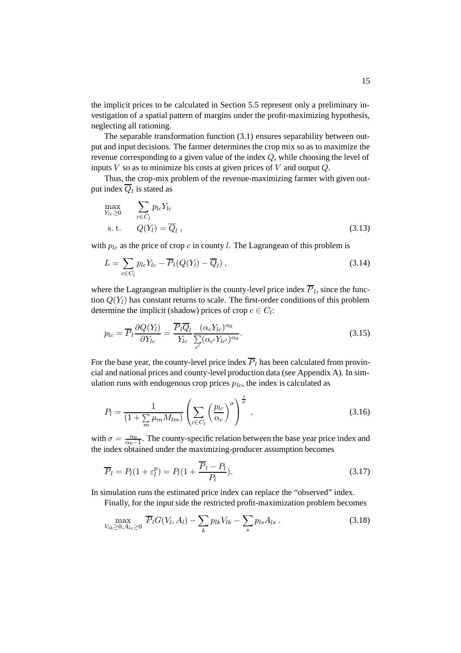the implicit prices to be calculated in Section 5.5 represent only a preliminary investigation of a spatial pattern of margins under the profit-maximizing hypothesis, neglecting all rationing.

The separable transformation function (3.1) ensures separability between output and input decisions. The farmer determines the crop mix so as to maximize the revenue corresponding to a given value of the index Q, while choosing the level of inputs  $V$  so as to minimize his costs at given prices of  $V$  and output  $Q$ .

Thus, the crop-mix problem of the revenue-maximizing farmer with given output index  $\overline{Q}_l$  is stated as

$$
\max_{Y_{lc}\geq 0} \sum_{c \in C_l} p_{lc} Y_{lc}
$$
\n
$$
\text{s. t.} \qquad Q(Y_l) = \overline{Q}_l \,, \tag{3.13}
$$

with  $p_{lc}$  as the price of crop c in county l. The Lagrangean of this problem is

$$
L = \sum_{c \in C_l} p_{lc} Y_{lc} - \overline{P}_l (Q(Y_l) - \overline{Q}_l) , \qquad (3.14)
$$

where the Lagrangean multiplier is the county-level price index  $\overline{P}_l$ , since the function  $Q(Y_l)$  has constant returns to scale. The first-order conditions of this problem determine the implicit (shadow) prices of crop  $c \in C_l$ :

$$
p_{lc} = \overline{P}_l \frac{\partial Q(Y_l)}{\partial Y_{lc}} = \frac{\overline{P}_l \overline{Q}_l}{Y_{lc}} \frac{(\alpha_c Y_{lc})^{\alpha_0}}{\sum_{c'} (\alpha_{c'} Y_{lc'})^{\alpha_0}}.
$$
\n(3.15)

For the base year, the county-level price index  $\overline{P}_l$  has been calculated from provincial and national prices and county-level production data (see Appendix A). In simulation runs with endogenous crop prices  $p_{lc}$ , the index is calculated as

$$
P_l = \frac{1}{(1 + \sum_{m} \mu_m M_{lm})} \left( \sum_{c \in C_l} \left( \frac{p_{lc}}{\alpha_c} \right)^{\sigma} \right)^{\frac{1}{\sigma}}, \qquad (3.16)
$$

with  $\sigma = \frac{\alpha_0}{\alpha_0 - 1}$ . The county-specific relation between the base year price index and the index obtained under the maximizing-producer assumption becomes

$$
\overline{P}_l = P_l(1 + \varepsilon_l^p) = P_l(1 + \frac{\overline{P}_l - P_l}{P_l}).
$$
\n(3.17)

In simulation runs the estimated price index can replace the "observed" index.

Finally, for the input side the restricted profit-maximization problem becomes

$$
\max_{V_{lk}\geq 0, A_{ls}\geq 0} \ \overline{P}_l G(V_l, A_l) - \sum_k p_{lk} V_{lk} - \sum_s p_{ls} A_{ls} \ . \tag{3.18}
$$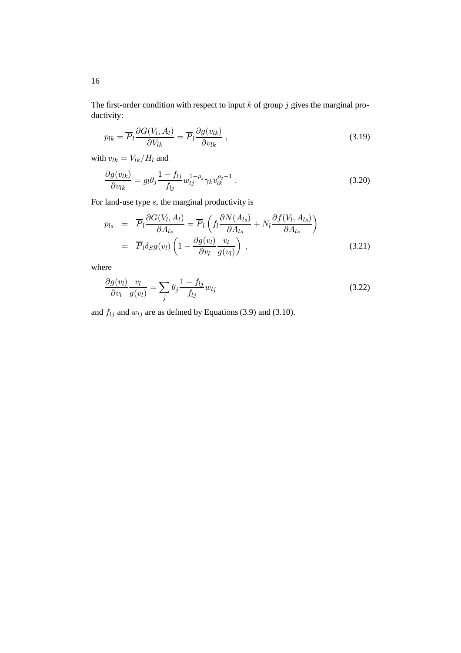The first-order condition with respect to input  $k$  of group  $j$  gives the marginal productivity:

$$
p_{lk} = \overline{P}_l \frac{\partial G(V_l, A_l)}{\partial V_{lk}} = \overline{P}_l \frac{\partial g(v_{lk})}{\partial v_{lk}},
$$
\n(3.19)

with  $v_{lk} = V_{lk}/H_l$  and

$$
\frac{\partial g(v_{lk})}{\partial v_{lk}} = g_l \theta_j \frac{1 - f_{lj}}{f_{lj}} w_{lj}^{1 - \rho_j} \gamma_k v_{lk}^{\rho_j - 1} . \tag{3.20}
$$

For land-use type  $s$ , the marginal productivity is

$$
p_{ls} = \overline{P}_l \frac{\partial G(V_l, A_l)}{\partial A_{ls}} = \overline{P}_l \left( f_l \frac{\partial N(A_{ls})}{\partial A_{ls}} + N_l \frac{\partial f(V_l, A_{ls})}{\partial A_{ls}} \right)
$$
  

$$
= \overline{P}_l \delta_S g(v_l) \left( 1 - \frac{\partial g(v_l)}{\partial v_l} \frac{v_l}{g(v_l)} \right), \qquad (3.21)
$$

where

$$
\frac{\partial g(v_l)}{\partial v_l} \frac{v_l}{g(v_l)} = \sum_j \theta_j \frac{1 - f_{lj}}{f_{lj}} w_{lj}
$$
\n(3.22)

and  $f_{lj}$  and  $w_{lj}$  are as defined by Equations (3.9) and (3.10).

16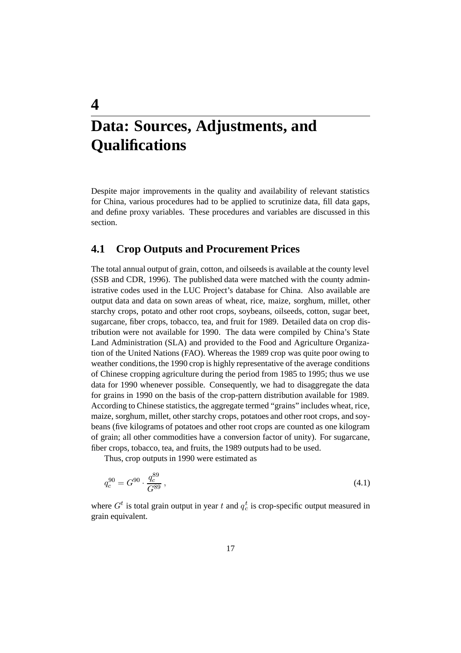# **Data: Sources, Adjustments, and Qualifications**

**4**

Despite major improvements in the quality and availability of relevant statistics for China, various procedures had to be applied to scrutinize data, fill data gaps, and define proxy variables. These procedures and variables are discussed in this section.

#### **4.1 Crop Outputs and Procurement Prices**

The total annual output of grain, cotton, and oilseeds is available at the county level (SSB and CDR, 1996). The published data were matched with the county administrative codes used in the LUC Project's database for China. Also available are output data and data on sown areas of wheat, rice, maize, sorghum, millet, other starchy crops, potato and other root crops, soybeans, oilseeds, cotton, sugar beet, sugarcane, fiber crops, tobacco, tea, and fruit for 1989. Detailed data on crop distribution were not available for 1990. The data were compiled by China's State Land Administration (SLA) and provided to the Food and Agriculture Organization of the United Nations (FAO). Whereas the 1989 crop was quite poor owing to weather conditions, the 1990 crop is highly representative of the average conditions of Chinese cropping agriculture during the period from 1985 to 1995; thus we use data for 1990 whenever possible. Consequently, we had to disaggregate the data for grains in 1990 on the basis of the crop-pattern distribution available for 1989. According to Chinese statistics, the aggregate termed "grains" includes wheat, rice, maize, sorghum, millet, other starchy crops, potatoes and other root crops, and soybeans (five kilograms of potatoes and other root crops are counted as one kilogram of grain; all other commodities have a conversion factor of unity). For sugarcane, fiber crops, tobacco, tea, and fruits, the 1989 outputs had to be used.

Thus, crop outputs in 1990 were estimated as

$$
q_c^{90} = G^{90} \cdot \frac{q_c^{89}}{G^{89}}\,,\tag{4.1}
$$

where  $G^t$  is total grain output in year t and  $q_c^t$  is crop-specific output measured in grain equivalent.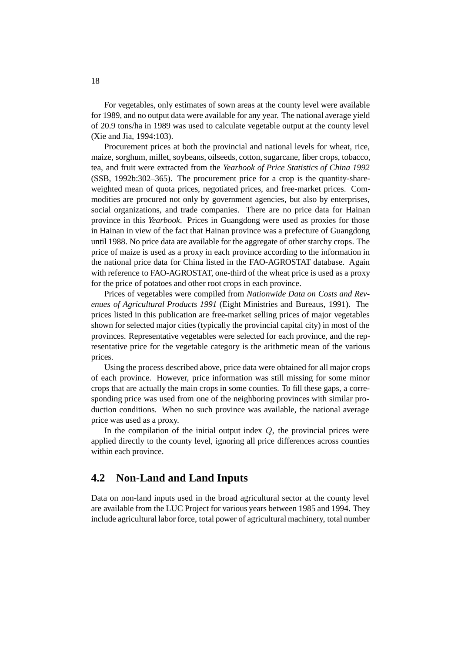For vegetables, only estimates of sown areas at the county level were available for 1989, and no output data were available for any year. The national average yield of 20.9 tons/ha in 1989 was used to calculate vegetable output at the county level (Xie and Jia, 1994:103).

Procurement prices at both the provincial and national levels for wheat, rice, maize, sorghum, millet, soybeans, oilseeds, cotton, sugarcane, fiber crops, tobacco, tea, and fruit were extracted from the *Yearbook of Price Statistics of China 1992* (SSB, 1992b:302–365). The procurement price for a crop is the quantity-shareweighted mean of quota prices, negotiated prices, and free-market prices. Commodities are procured not only by government agencies, but also by enterprises, social organizations, and trade companies. There are no price data for Hainan province in this *Yearbook*. Prices in Guangdong were used as proxies for those in Hainan in view of the fact that Hainan province was a prefecture of Guangdong until 1988. No price data are available for the aggregate of other starchy crops. The price of maize is used as a proxy in each province according to the information in the national price data for China listed in the FAO-AGROSTAT database. Again with reference to FAO-AGROSTAT, one-third of the wheat price is used as a proxy for the price of potatoes and other root crops in each province.

Prices of vegetables were compiled from *Nationwide Data on Costs and Revenues of Agricultural Products 1991* (Eight Ministries and Bureaus, 1991). The prices listed in this publication are free-market selling prices of major vegetables shown for selected major cities (typically the provincial capital city) in most of the provinces. Representative vegetables were selected for each province, and the representative price for the vegetable category is the arithmetic mean of the various prices.

Using the process described above, price data were obtained for all major crops of each province. However, price information was still missing for some minor crops that are actually the main crops in some counties. To fill these gaps, a corresponding price was used from one of the neighboring provinces with similar production conditions. When no such province was available, the national average price was used as a proxy.

In the compilation of the initial output index  $Q$ , the provincial prices were applied directly to the county level, ignoring all price differences across counties within each province.

#### **4.2 Non-Land and Land Inputs**

Data on non-land inputs used in the broad agricultural sector at the county level are available from the LUC Project for various years between 1985 and 1994. They include agricultural labor force, total power of agricultural machinery, total number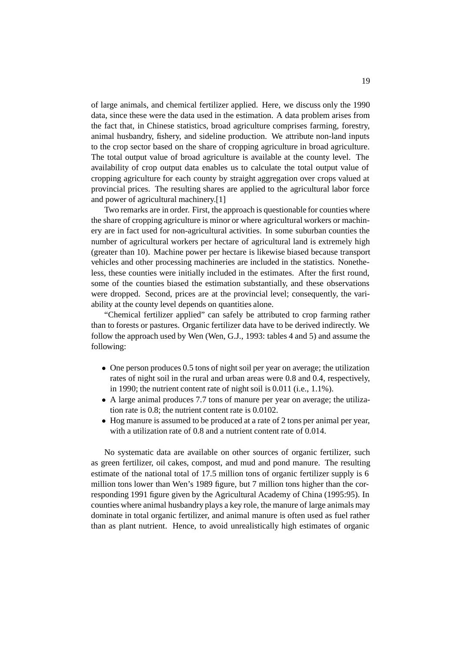of large animals, and chemical fertilizer applied. Here, we discuss only the 1990 data, since these were the data used in the estimation. A data problem arises from the fact that, in Chinese statistics, broad agriculture comprises farming, forestry, animal husbandry, fishery, and sideline production. We attribute non-land inputs to the crop sector based on the share of cropping agriculture in broad agriculture. The total output value of broad agriculture is available at the county level. The availability of crop output data enables us to calculate the total output value of cropping agriculture for each county by straight aggregation over crops valued at provincial prices. The resulting shares are applied to the agricultural labor force and power of agricultural machinery.[1]

Two remarks are in order. First, the approach is questionable for counties where the share of cropping agriculture is minor or where agricultural workers or machinery are in fact used for non-agricultural activities. In some suburban counties the number of agricultural workers per hectare of agricultural land is extremely high (greater than 10). Machine power per hectare is likewise biased because transport vehicles and other processing machineries are included in the statistics. Nonetheless, these counties were initially included in the estimates. After the first round, some of the counties biased the estimation substantially, and these observations were dropped. Second, prices are at the provincial level; consequently, the variability at the county level depends on quantities alone.

"Chemical fertilizer applied" can safely be attributed to crop farming rather than to forests or pastures. Organic fertilizer data have to be derived indirectly. We follow the approach used by Wen (Wen, G.J., 1993: tables 4 and 5) and assume the following:

- One person produces 0.5 tons of night soil per year on average; the utilization rates of night soil in the rural and urban areas were 0.8 and 0.4, respectively, in 1990; the nutrient content rate of night soil is 0.011 (i.e., 1.1%).
- A large animal produces 7.7 tons of manure per year on average; the utilization rate is 0.8; the nutrient content rate is 0.0102.
- Hog manure is assumed to be produced at a rate of 2 tons per animal per year, with a utilization rate of 0.8 and a nutrient content rate of 0.014.

No systematic data are available on other sources of organic fertilizer, such as green fertilizer, oil cakes, compost, and mud and pond manure. The resulting estimate of the national total of 17.5 million tons of organic fertilizer supply is 6 million tons lower than Wen's 1989 figure, but 7 million tons higher than the corresponding 1991 figure given by the Agricultural Academy of China (1995:95). In counties where animal husbandry plays a key role, the manure of large animals may dominate in total organic fertilizer, and animal manure is often used as fuel rather than as plant nutrient. Hence, to avoid unrealistically high estimates of organic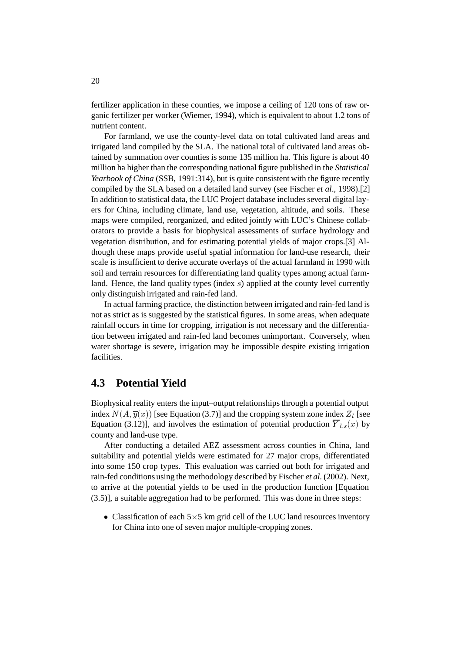fertilizer application in these counties, we impose a ceiling of 120 tons of raw organic fertilizer per worker (Wiemer, 1994), which is equivalent to about 1.2 tons of nutrient content.

For farmland, we use the county-level data on total cultivated land areas and irrigated land compiled by the SLA. The national total of cultivated land areas obtained by summation over counties is some 135 million ha. This figure is about 40 million ha higher than the corresponding national figure published in the *Statistical Yearbook of China* (SSB, 1991:314), but is quite consistent with the figure recently compiled by the SLA based on a detailed land survey (see Fischer *et al*., 1998).[2] In addition to statistical data, the LUC Project database includes several digital layers for China, including climate, land use, vegetation, altitude, and soils. These maps were compiled, reorganized, and edited jointly with LUC's Chinese collaborators to provide a basis for biophysical assessments of surface hydrology and vegetation distribution, and for estimating potential yields of major crops.[3] Although these maps provide useful spatial information for land-use research, their scale is insufficient to derive accurate overlays of the actual farmland in 1990 with soil and terrain resources for differentiating land quality types among actual farmland. Hence, the land quality types (index s) applied at the county level currently only distinguish irrigated and rain-fed land.

In actual farming practice, the distinction between irrigated and rain-fed land is not as strict as is suggested by the statistical figures. In some areas, when adequate rainfall occurs in time for cropping, irrigation is not necessary and the differentiation between irrigated and rain-fed land becomes unimportant. Conversely, when water shortage is severe, irrigation may be impossible despite existing irrigation facilities.

#### **4.3 Potential Yield**

Biophysical reality enters the input–output relationships through a potential output index  $N(A, \overline{y}(x))$  [see Equation (3.7)] and the cropping system zone index  $Z<sub>l</sub>$  [see Equation (3.12)], and involves the estimation of potential production  $\overline{Y}_{l,s}(x)$  by county and land-use type.

After conducting a detailed AEZ assessment across counties in China, land suitability and potential yields were estimated for 27 major crops, differentiated into some 150 crop types. This evaluation was carried out both for irrigated and rain-fed conditions using the methodology described by Fischer *et al*. (2002). Next, to arrive at the potential yields to be used in the production function [Equation (3.5)], a suitable aggregation had to be performed. This was done in three steps:

• Classification of each  $5\times 5$  km grid cell of the LUC land resources inventory for China into one of seven major multiple-cropping zones.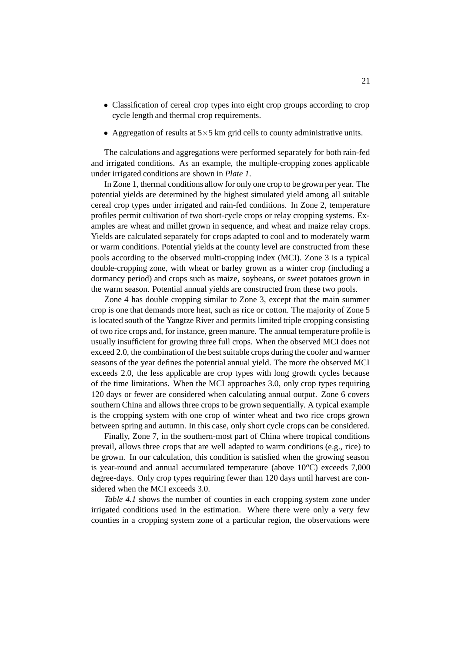- Classification of cereal crop types into eight crop groups according to crop cycle length and thermal crop requirements.
- Aggregation of results at  $5 \times 5$  km grid cells to county administrative units.

The calculations and aggregations were performed separately for both rain-fed and irrigated conditions. As an example, the multiple-cropping zones applicable under irrigated conditions are shown in *Plate 1*.

In Zone 1, thermal conditions allow for only one crop to be grown per year. The potential yields are determined by the highest simulated yield among all suitable cereal crop types under irrigated and rain-fed conditions. In Zone 2, temperature profiles permit cultivation of two short-cycle crops or relay cropping systems. Examples are wheat and millet grown in sequence, and wheat and maize relay crops. Yields are calculated separately for crops adapted to cool and to moderately warm or warm conditions. Potential yields at the county level are constructed from these pools according to the observed multi-cropping index (MCI). Zone 3 is a typical double-cropping zone, with wheat or barley grown as a winter crop (including a dormancy period) and crops such as maize, soybeans, or sweet potatoes grown in the warm season. Potential annual yields are constructed from these two pools.

Zone 4 has double cropping similar to Zone 3, except that the main summer crop is one that demands more heat, such as rice or cotton. The majority of Zone 5 is located south of the Yangtze River and permits limited triple cropping consisting of two rice crops and, for instance, green manure. The annual temperature profile is usually insufficient for growing three full crops. When the observed MCI does not exceed 2.0, the combination of the best suitable crops during the cooler and warmer seasons of the year defines the potential annual yield. The more the observed MCI exceeds 2.0, the less applicable are crop types with long growth cycles because of the time limitations. When the MCI approaches 3.0, only crop types requiring 120 days or fewer are considered when calculating annual output. Zone 6 covers southern China and allows three crops to be grown sequentially. A typical example is the cropping system with one crop of winter wheat and two rice crops grown between spring and autumn. In this case, only short cycle crops can be considered.

Finally, Zone 7, in the southern-most part of China where tropical conditions prevail, allows three crops that are well adapted to warm conditions (e.g., rice) to be grown. In our calculation, this condition is satisfied when the growing season is year-round and annual accumulated temperature (above  $10^{\circ}$ C) exceeds 7,000 degree-days. Only crop types requiring fewer than 120 days until harvest are considered when the MCI exceeds 3.0.

*Table 4.1* shows the number of counties in each cropping system zone under irrigated conditions used in the estimation. Where there were only a very few counties in a cropping system zone of a particular region, the observations were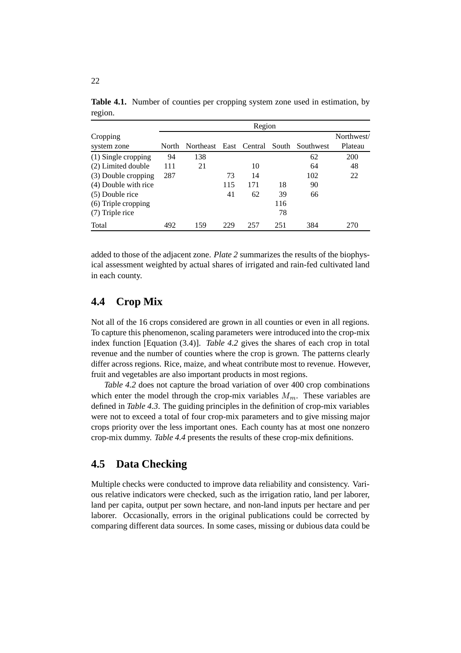|                         |       | Region           |     |              |     |                 |                       |  |  |
|-------------------------|-------|------------------|-----|--------------|-----|-----------------|-----------------------|--|--|
| Cropping<br>system zone | North | <b>Northeast</b> |     | East Central |     | South Southwest | Northwest/<br>Plateau |  |  |
| $(1)$ Single cropping   | 94    | 138              |     |              |     | 62              | <b>200</b>            |  |  |
| (2) Limited double      | 111   | 21               |     | 10           |     | 64              | 48                    |  |  |
| (3) Double cropping     | 287   |                  | 73  | 14           |     | 102             | 22                    |  |  |
| (4) Double with rice    |       |                  | 115 | 171          | 18  | 90              |                       |  |  |
| $(5)$ Double rice       |       |                  | 41  | 62           | 39  | 66              |                       |  |  |
| (6) Triple cropping     |       |                  |     |              | 116 |                 |                       |  |  |
| (7) Triple rice         |       |                  |     |              | 78  |                 |                       |  |  |
| Total                   | 492   | 159              | 229 | 257          | 251 | 384             | 270                   |  |  |

Table 4.1. Number of counties per cropping system zone used in estimation, by region.

added to those of the adjacent zone. *Plate 2* summarizes the results of the biophysical assessment weighted by actual shares of irrigated and rain-fed cultivated land in each county.

### **4.4 Crop Mix**

Not all of the 16 crops considered are grown in all counties or even in all regions. To capture this phenomenon, scaling parameters were introduced into the crop-mix index function [Equation (3.4)]. *Table 4.2* gives the shares of each crop in total revenue and the number of counties where the crop is grown. The patterns clearly differ across regions. Rice, maize, and wheat contribute most to revenue. However, fruit and vegetables are also important products in most regions.

*Table 4.2* does not capture the broad variation of over 400 crop combinations which enter the model through the crop-mix variables  $M_m$ . These variables are defined in *Table 4.3*. The guiding principles in the definition of crop-mix variables were not to exceed a total of four crop-mix parameters and to give missing major crops priority over the less important ones. Each county has at most one nonzero crop-mix dummy. *Table 4.4* presents the results of these crop-mix definitions.

#### **4.5 Data Checking**

Multiple checks were conducted to improve data reliability and consistency. Various relative indicators were checked, such as the irrigation ratio, land per laborer, land per capita, output per sown hectare, and non-land inputs per hectare and per laborer. Occasionally, errors in the original publications could be corrected by comparing different data sources. In some cases, missing or dubious data could be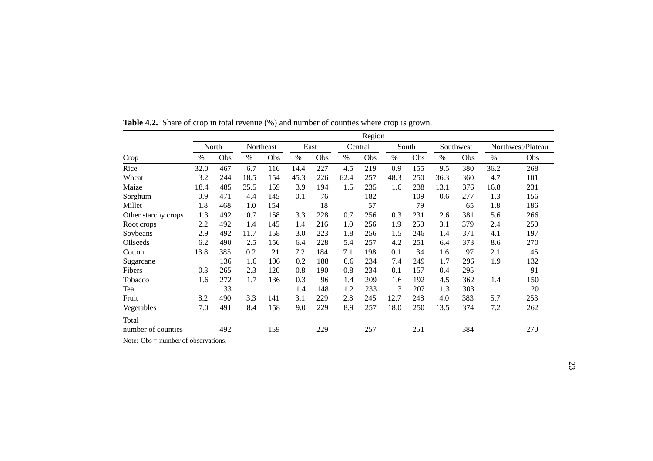|                     | Region |       |      |           |      |      |      |         |      |       |      |           |      |                   |
|---------------------|--------|-------|------|-----------|------|------|------|---------|------|-------|------|-----------|------|-------------------|
|                     |        | North |      | Northeast |      | East |      | Central |      | South |      | Southwest |      | Northwest/Plateau |
| Crop                | $\%$   | Obs   | $\%$ | Obs       | $\%$ | Obs  | $\%$ | Obs     | $\%$ | Obs   | $\%$ | Obs       | $\%$ | Obs               |
| Rice                | 32.0   | 467   | 6.7  | 116       | 14.4 | 227  | 4.5  | 219     | 0.9  | 155   | 9.5  | 380       | 36.2 | 268               |
| Wheat               | 3.2    | 244   | 18.5 | 154       | 45.3 | 226  | 62.4 | 257     | 48.3 | 250   | 36.3 | 360       | 4.7  | 101               |
| Maize               | 18.4   | 485   | 35.5 | 159       | 3.9  | 194  | 1.5  | 235     | 1.6  | 238   | 13.1 | 376       | 16.8 | 231               |
| Sorghum             | 0.9    | 471   | 4.4  | 145       | 0.1  | 76   |      | 182     |      | 109   | 0.6  | 277       | 1.3  | 156               |
| Millet              | 1.8    | 468   | 1.0  | 154       |      | 18   |      | 57      |      | 79    |      | 65        | 1.8  | 186               |
| Other starchy crops | 1.3    | 492   | 0.7  | 158       | 3.3  | 228  | 0.7  | 256     | 0.3  | 231   | 2.6  | 381       | 5.6  | 266               |
| Root crops          | 2.2    | 492   | 1.4  | 145       | 1.4  | 216  | 1.0  | 256     | 1.9  | 250   | 3.1  | 379       | 2.4  | 250               |
| Soybeans            | 2.9    | 492   | 11.7 | 158       | 3.0  | 223  | 1.8  | 256     | 1.5  | 246   | 1.4  | 371       | 4.1  | 197               |
| Oilseeds            | 6.2    | 490   | 2.5  | 156       | 6.4  | 228  | 5.4  | 257     | 4.2  | 251   | 6.4  | 373       | 8.6  | 270               |
| Cotton              | 13.8   | 385   | 0.2  | 21        | 7.2  | 184  | 7.1  | 198     | 0.1  | 34    | 1.6  | 97        | 2.1  | 45                |
| Sugarcane           |        | 136   | 1.6  | 106       | 0.2  | 188  | 0.6  | 234     | 7.4  | 249   | 1.7  | 296       | 1.9  | 132               |
| Fibers              | 0.3    | 265   | 2.3  | 120       | 0.8  | 190  | 0.8  | 234     | 0.1  | 157   | 0.4  | 295       |      | 91                |
| Tobacco             | 1.6    | 272   | 1.7  | 136       | 0.3  | 96   | 1.4  | 209     | 1.6  | 192   | 4.5  | 362       | 1.4  | 150               |
| Tea                 |        | 33    |      |           | 1.4  | 148  | 1.2  | 233     | 1.3  | 207   | 1.3  | 303       |      | 20                |
| Fruit               | 8.2    | 490   | 3.3  | 141       | 3.1  | 229  | 2.8  | 245     | 12.7 | 248   | 4.0  | 383       | 5.7  | 253               |
| Vegetables          | 7.0    | 491   | 8.4  | 158       | 9.0  | 229  | 8.9  | 257     | 18.0 | 250   | 13.5 | 374       | 7.2  | 262               |
| Total               |        |       |      |           |      |      |      |         |      |       |      |           |      |                   |
| number of counties  |        | 492   |      | 159       |      | 229  |      | 257     |      | 251   |      | 384       |      | 270               |

**Table 4.2.** Share of crop in total revenue (%) and number of counties where crop is grown.

Note: Obs = number of observations.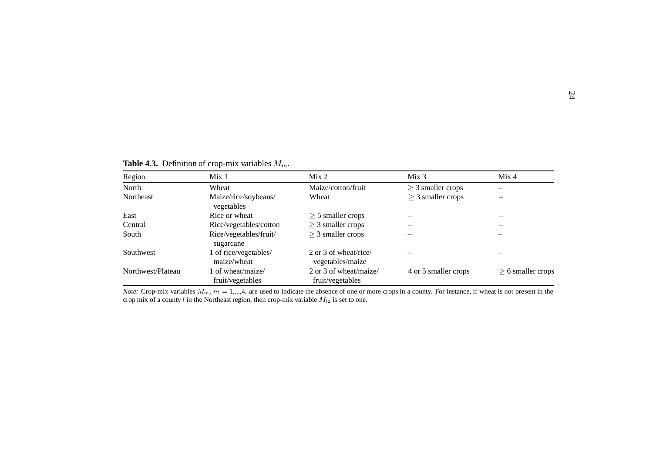**Table 4.3.** Definition of crop-mix variables  $M_m$ .

| Region            | Mix <sub>1</sub>                      | Mix <sub>2</sub>                           | Mix <sub>3</sub>       | Mix 4                  |
|-------------------|---------------------------------------|--------------------------------------------|------------------------|------------------------|
| North             | Wheat                                 | Maize/cotton/fruit                         | $\geq$ 3 smaller crops |                        |
| Northeast         | Maize/rice/soybeans/<br>vegetables    | Wheat                                      | $\geq$ 3 smaller crops |                        |
| East              | Rice or wheat                         | $\geq$ 5 smaller crops                     |                        |                        |
| Central           | Rice/vegetables/cotton                | $\geq$ 3 smaller crops                     |                        |                        |
| South             | Rice/vegetables/fruit/<br>sugarcane   | $\geq$ 3 smaller crops                     |                        |                        |
| Southwest         | 1 of rice/vegetables/<br>maize/wheat  | 2 or 3 of wheat/rice/<br>vegetables/maize  |                        |                        |
| Northwest/Plateau | 1 of wheat/maize/<br>fruit/vegetables | 2 or 3 of wheat/maize/<br>fruit/vegetables | 4 or 5 smaller crops   | $\geq$ 6 smaller crops |

*Note:* Crop-mix variables  $M_m$ ,  $m = 1,...,4$ , are used to indicate the absence of one or more crops in a county. For instance, if wheat is not present in the crop mix of a county l in the Northeast region, then crop-mix variable  $M_{l2}$  is set to one.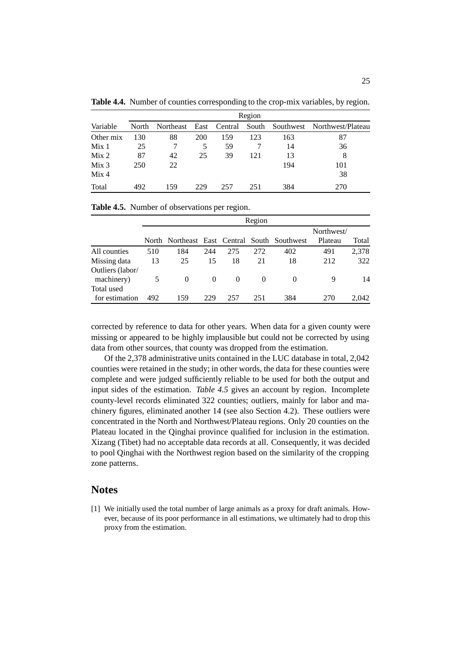|                  |              | Region                 |     |     |     |     |                                   |  |  |  |  |  |
|------------------|--------------|------------------------|-----|-----|-----|-----|-----------------------------------|--|--|--|--|--|
| Variable         | <b>North</b> | Northeast East Central |     |     |     |     | South Southwest Northwest/Plateau |  |  |  |  |  |
| Other mix        | 130          | 88                     | 200 | 159 | 123 | 163 | 87                                |  |  |  |  |  |
| Mix <sub>1</sub> | 25           |                        | 5   | 59  |     | 14  | 36                                |  |  |  |  |  |
| Mix <sub>2</sub> | 87           | 42                     | 25  | 39  | 121 | 13  | 8                                 |  |  |  |  |  |
| Mix <sub>3</sub> | 250          | 22                     |     |     |     | 194 | 101                               |  |  |  |  |  |
| Mix <sub>4</sub> |              |                        |     |     |     |     | 38                                |  |  |  |  |  |
| Total            | 492          | 159                    | 229 | 257 | 251 | 384 | 270                               |  |  |  |  |  |

**Table 4.4.** Number of counties corresponding to the crop-mix variables, by region.

|                              |     | Region   |          |          |          |                                              |                       |       |  |  |  |
|------------------------------|-----|----------|----------|----------|----------|----------------------------------------------|-----------------------|-------|--|--|--|
|                              |     |          |          |          |          | North Northeast East Central South Southwest | Northwest/<br>Plateau | Total |  |  |  |
| All counties                 | 510 | 184      | 244      | 275      | 272      | 402                                          | 491                   | 2,378 |  |  |  |
| Missing data                 | 13  | 25       | 15       | 18       | 21       | 18                                           | 212                   | 322   |  |  |  |
| Outliers (labor/             |     |          |          |          |          |                                              |                       |       |  |  |  |
| machinery)                   | 5   | $\Omega$ | $\theta$ | $\Omega$ | $\theta$ | $\Omega$                                     | 9                     | 14    |  |  |  |
| Total used<br>for estimation | 492 | 159      | 229      | 257      | 251      | 384                                          | 270                   | 2.042 |  |  |  |

**Table 4.5.** Number of observations per region.

corrected by reference to data for other years. When data for a given county were missing or appeared to be highly implausible but could not be corrected by using data from other sources, that county was dropped from the estimation.

Of the 2,378 administrative units contained in the LUC database in total, 2,042 counties were retained in the study; in other words, the data for these counties were complete and were judged sufficiently reliable to be used for both the output and input sides of the estimation. *Table 4.5* gives an account by region. Incomplete county-level records eliminated 322 counties; outliers, mainly for labor and machinery figures, eliminated another 14 (see also Section 4.2). These outliers were concentrated in the North and Northwest/Plateau regions. Only 20 counties on the Plateau located in the Qinghai province qualified for inclusion in the estimation. Xizang (Tibet) had no acceptable data records at all. Consequently, it was decided to pool Qinghai with the Northwest region based on the similarity of the cropping zone patterns.

#### **Notes**

[1] We initially used the total number of large animals as a proxy for draft animals. However, because of its poor performance in all estimations, we ultimately had to drop this proxy from the estimation.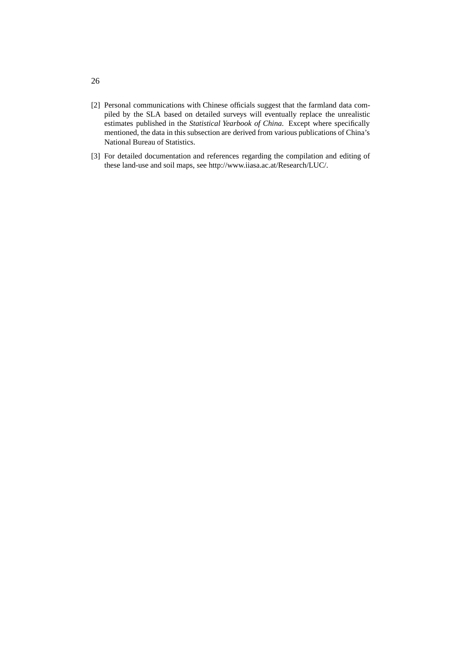- [2] Personal communications with Chinese officials suggest that the farmland data compiled by the SLA based on detailed surveys will eventually replace the unrealistic estimates published in the *Statistical Yearbook of China*. Except where specifically mentioned, the data in this subsection are derived from various publications of China's National Bureau of Statistics.
- [3] For detailed documentation and references regarding the compilation and editing of these land-use and soil maps, see http://www.iiasa.ac.at/Research/LUC/.

26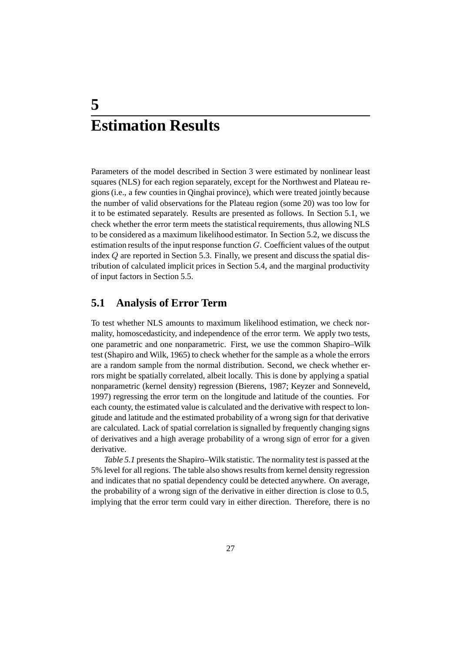## **5 Estimation Results**

Parameters of the model described in Section 3 were estimated by nonlinear least squares (NLS) for each region separately, except for the Northwest and Plateau regions (i.e., a few counties in Qinghai province), which were treated jointly because the number of valid observations for the Plateau region (some 20) was too low for it to be estimated separately. Results are presented as follows. In Section 5.1, we check whether the error term meets the statistical requirements, thus allowing NLS to be considered as a maximum likelihood estimator. In Section 5.2, we discuss the estimation results of the input response function G. Coefficient values of the output index Q are reported in Section 5.3. Finally, we present and discuss the spatial distribution of calculated implicit prices in Section 5.4, and the marginal productivity of input factors in Section 5.5.

### **5.1 Analysis of Error Term**

To test whether NLS amounts to maximum likelihood estimation, we check normality, homoscedasticity, and independence of the error term. We apply two tests, one parametric and one nonparametric. First, we use the common Shapiro–Wilk test (Shapiro and Wilk, 1965) to check whether for the sample as a whole the errors are a random sample from the normal distribution. Second, we check whether errors might be spatially correlated, albeit locally. This is done by applying a spatial nonparametric (kernel density) regression (Bierens, 1987; Keyzer and Sonneveld, 1997) regressing the error term on the longitude and latitude of the counties. For each county, the estimated value is calculated and the derivative with respect to longitude and latitude and the estimated probability of a wrong sign for that derivative are calculated. Lack of spatial correlation is signalled by frequently changing signs of derivatives and a high average probability of a wrong sign of error for a given derivative.

*Table 5.1* presents the Shapiro–Wilk statistic. The normality test is passed at the 5% level for all regions. The table also shows results from kernel density regression and indicates that no spatial dependency could be detected anywhere. On average, the probability of a wrong sign of the derivative in either direction is close to 0.5, implying that the error term could vary in either direction. Therefore, there is no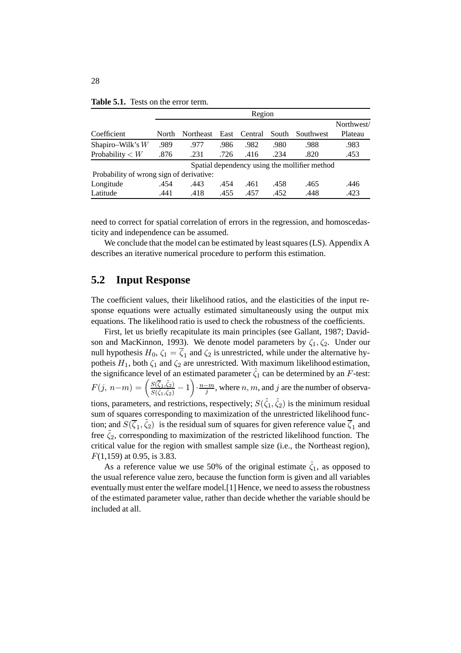|                                          |       | Region    |      |         |       |                                               |            |  |  |  |
|------------------------------------------|-------|-----------|------|---------|-------|-----------------------------------------------|------------|--|--|--|
|                                          |       |           |      |         |       |                                               | Northwest/ |  |  |  |
| Coefficient                              | North | Northeast | East | Central | South | Southwest                                     | Plateau    |  |  |  |
| Shapiro-Wilk's $W$                       | .989  | .977      | .986 | .982    | .980  | .988                                          | .983       |  |  |  |
| Probability $\lt W$                      | .876  | .231      | .726 | .416    | .234  | .820                                          | .453       |  |  |  |
|                                          |       |           |      |         |       | Spatial dependency using the mollifier method |            |  |  |  |
| Probability of wrong sign of derivative: |       |           |      |         |       |                                               |            |  |  |  |
| Longitude                                | .454  | .443      | .454 | .461    | .458  | .465                                          | .446       |  |  |  |
| Latitude                                 | .441  | .418      | .455 | .457    | .452  | .448                                          | .423       |  |  |  |

**Table 5.1.** Tests on the error term.

need to correct for spatial correlation of errors in the regression, and homoscedasticity and independence can be assumed.

We conclude that the model can be estimated by least squares (LS). Appendix A describes an iterative numerical procedure to perform this estimation.

#### **5.2 Input Response**

The coefficient values, their likelihood ratios, and the elasticities of the input response equations were actually estimated simultaneously using the output mix equations. The likelihood ratio is used to check the robustness of the coefficients.

First, let us briefly recapitulate its main principles (see Gallant, 1987; Davidson and MacKinnon, 1993). We denote model parameters by  $\zeta_1, \zeta_2$ . Under our null hypothesis  $H_0$ ,  $\zeta_1 = \overline{\zeta_1}$  and  $\zeta_2$  is unrestricted, while under the alternative hypotheis  $H_1$ , both  $\zeta_1$  and  $\zeta_2$  are unrestricted. With maximum likelihood estimation, the significance level of an estimated parameter  $\hat{\zeta}_1$  can be determined by an F-test:  $F(j, n-m) = \left(\frac{S(\overline{\zeta}_1, \overline{\zeta}_2)}{S(\hat{\zeta}_1, \hat{\zeta}_2)} - 1\right) \cdot \frac{n-m}{j}$ , where  $n, m$ , and  $j$  are the number of observations, parameters, and restrictions, respectively;  $S(\hat{\zeta}_1, \hat{\zeta}_2)$  is the minimum residual sum of squares corresponding to maximization of the unrestricted likelihood function; and  $S(\overline{\zeta}_1, \overline{\zeta}_2)$  is the residual sum of squares for given reference value  $\overline{\zeta}_1$  and free  $\zeta_2$ , corresponding to maximization of the restricted likelihood function. The critical value for the region with smallest sample size (i.e., the Northeast region), F(1,159) at 0.95, is 3.83.

As a reference value we use 50% of the original estimate  $\hat{\zeta}_1$ , as opposed to the usual reference value zero, because the function form is given and all variables eventually must enter the welfare model.[1] Hence, we need to assess the robustness of the estimated parameter value, rather than decide whether the variable should be included at all.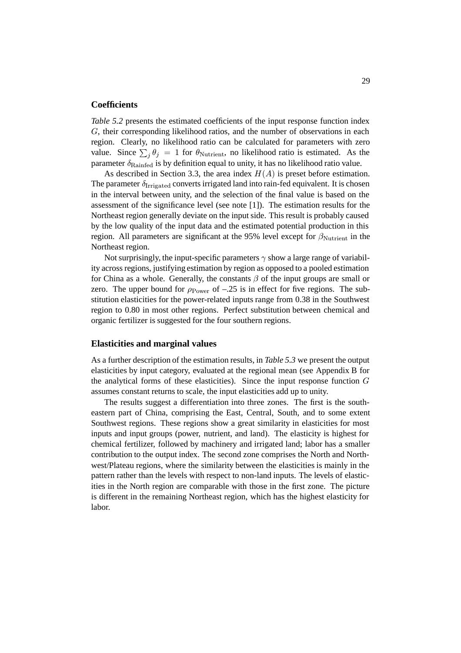#### **Coefficients**

*Table 5.2* presents the estimated coefficients of the input response function index G, their corresponding likelihood ratios, and the number of observations in each region. Clearly, no likelihood ratio can be calculated for parameters with zero value. Since  $\sum_j \theta_j = 1$  for  $\theta_{\text{Nutrient}}$ , no likelihood ratio is estimated. As the parameter  $\delta_{\rm Rainfed}$  is by definition equal to unity, it has no likelihood ratio value.

As described in Section 3.3, the area index  $H(A)$  is preset before estimation. The parameter  $\delta_{\text{Irrivated}}$  converts irrigated land into rain-fed equivalent. It is chosen in the interval between unity, and the selection of the final value is based on the assessment of the significance level (see note [1]). The estimation results for the Northeast region generally deviate on the input side. This result is probably caused by the low quality of the input data and the estimated potential production in this region. All parameters are significant at the 95% level except for  $\beta_{\text{Nutrient}}$  in the Northeast region.

Not surprisingly, the input-specific parameters  $\gamma$  show a large range of variability across regions, justifying estimation by region as opposed to a pooled estimation for China as a whole. Generally, the constants  $\beta$  of the input groups are small or zero. The upper bound for  $\rho_{\text{Power}}$  of -.25 is in effect for five regions. The substitution elasticities for the power-related inputs range from 0.38 in the Southwest region to 0.80 in most other regions. Perfect substitution between chemical and organic fertilizer is suggested for the four southern regions.

#### **Elasticities and marginal values**

As a further description of the estimation results, in *Table 5.3* we present the output elasticities by input category, evaluated at the regional mean (see Appendix B for the analytical forms of these elasticities). Since the input response function  $G$ assumes constant returns to scale, the input elasticities add up to unity.

The results suggest a differentiation into three zones. The first is the southeastern part of China, comprising the East, Central, South, and to some extent Southwest regions. These regions show a great similarity in elasticities for most inputs and input groups (power, nutrient, and land). The elasticity is highest for chemical fertilizer, followed by machinery and irrigated land; labor has a smaller contribution to the output index. The second zone comprises the North and Northwest/Plateau regions, where the similarity between the elasticities is mainly in the pattern rather than the levels with respect to non-land inputs. The levels of elasticities in the North region are comparable with those in the first zone. The picture is different in the remaining Northeast region, which has the highest elasticity for labor.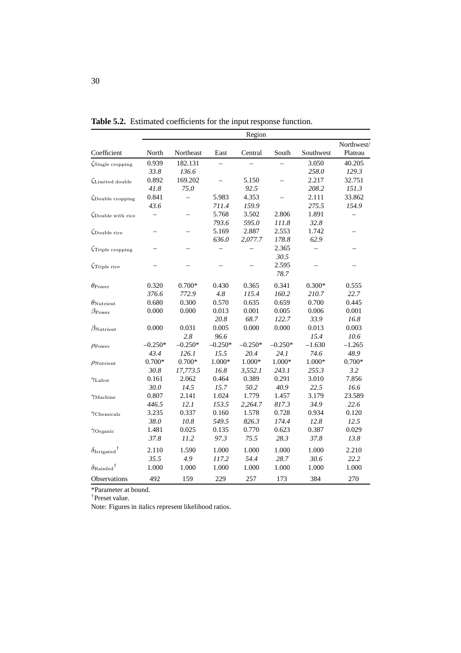|                                    |                          |           |           | Region    |           |           |            |
|------------------------------------|--------------------------|-----------|-----------|-----------|-----------|-----------|------------|
|                                    |                          |           |           |           |           |           | Northwest/ |
| Coefficient                        | North                    | Northeast | East      | Central   | South     | Southwest | Plateau    |
| $\zeta$ Single cropping            | 0.939                    | 182.131   |           |           |           | 3.050     | 40.205     |
|                                    | 33.8                     | 136.6     |           |           |           | 258.0     | 129.3      |
| Limited double                     | 0.892                    | 169.202   |           | 5.150     | $\equiv$  | 2.217     | 32.751     |
|                                    | 41.8                     | 75.0      |           | 92.5      |           | 208.2     | 151.3      |
| $\zeta$ Double cropping            | 0.841                    | $\equiv$  | 5.983     | 4.353     |           | 2.111     | 33.862     |
|                                    | 43.6                     |           | 711.4     | 159.9     |           | 275.5     | 154.9      |
| $\zeta$ Double with rice           |                          |           | 5.768     | 3.502     | 2.806     | 1.891     |            |
|                                    |                          |           | 793.6     | 595.0     | 111.8     | 32.8      |            |
| $\zeta$ Double rice                | —                        |           | 5.169     | 2.887     | 2.553     | 1.742     |            |
|                                    |                          |           | 636.0     | 2,077.7   | 178.8     | 62.9      |            |
| $\zeta$ Triple cropping            | $\overline{\phantom{0}}$ |           |           |           | 2.365     |           |            |
|                                    |                          |           |           |           | 30.5      |           |            |
| $\zeta$ Triple rice                |                          |           |           |           | 2.595     |           |            |
|                                    |                          |           |           |           | 78.7      |           |            |
| $\theta_{\rm Power}$               | 0.320                    | $0.700*$  | 0.430     | 0.365     | 0.341     | $0.300*$  | 0.555      |
|                                    | 376.6                    | 772.9     | 4.8       | 115.4     | 160.2     | 210.7     | 22.7       |
| $\theta_{\rm{Nutrient}}$           | 0.680                    | 0.300     | 0.570     | 0.635     | 0.659     | 0.700     | 0.445      |
| $\beta_{\rm Power}$                | 0.000                    | 0.000     | 0.013     | 0.001     | 0.005     | 0.006     | 0.001      |
|                                    |                          |           | 20.8      | 68.7      | 122.7     | 33.9      | 16.8       |
| $\beta_{\rm Nutrient}$             | 0.000                    | 0.031     | 0.005     | 0.000     | 0.000     | 0.013     | 0.003      |
|                                    |                          | 2.8       | 96.6      |           |           | 15.4      | 10.6       |
| $\rho_{\rm Power}$                 | $-0.250*$                | $-0.250*$ | $-0.250*$ | $-0.250*$ | $-0.250*$ | $-1.630$  | $-1.265$   |
|                                    | 43.4                     | 126.1     | 15.5      | 20.4      | 24.1      | 74.6      | 48.9       |
| $\rho_{\rm{Nutrient}}$             | $0.700*$                 | $0.700*$  | $1.000*$  | 1.000*    | $1.000*$  | $1.000*$  | $0.700*$   |
|                                    | 30.8                     | 17,773.5  | 16.8      | 3,552.1   | 243.1     | 255.3     | 3.2        |
| $\gamma$ Labor                     | 0.161                    | 2.062     | 0.464     | 0.389     | 0.291     | 3.010     | 7.856      |
|                                    | 30.0                     | 14.5      | 15.7      | 50.2      | 40.9      | 22.5      | 16.6       |
| $\gamma$ Machine                   | 0.807                    | 2.141     | 1.024     | 1.779     | 1.457     | 3.179     | 23.589     |
|                                    | 446.5                    | 12.1      | 153.5     | 2,264.7   | 817.3     | 34.9      | 22.6       |
| $\gamma$ Chemicals                 | 3.235                    | 0.337     | 0.160     | 1.578     | 0.728     | 0.934     | 0.120      |
|                                    | 38.0                     | 10.8      | 549.5     | 826.3     | 174.4     | 12.8      | 12.5       |
| $\gamma$ Organic                   | 1.481                    | 0.025     | 0.135     | 0.770     | 0.623     | 0.387     | 0.029      |
|                                    | 37.8                     | 11.2      | 97.3      | 75.5      | 28.3      | 37.8      | 13.8       |
| $\delta$ Irrigated <sup>†</sup>    | 2.110                    | 1.590     | 1.000     | 1.000     | 1.000     | 1.000     | 2.210      |
|                                    | 35.5                     | 4.9       | 117.2     | 54.4      | 28.7      | 30.6      | 22.2       |
| $\delta_{\rm Rainfed}{}^{\dagger}$ | 1.000                    | 1.000     | 1.000     | 1.000     | 1.000     | 1.000     | 1.000      |
| Observations                       | 492                      | 159       | 229       | 257       | 173       | 384       | 270        |

**Table 5.2.** Estimated coefficients for the input response function.

\*Parameter at bound.

†Preset value.

Note: Figures in italics represent likelihood ratios.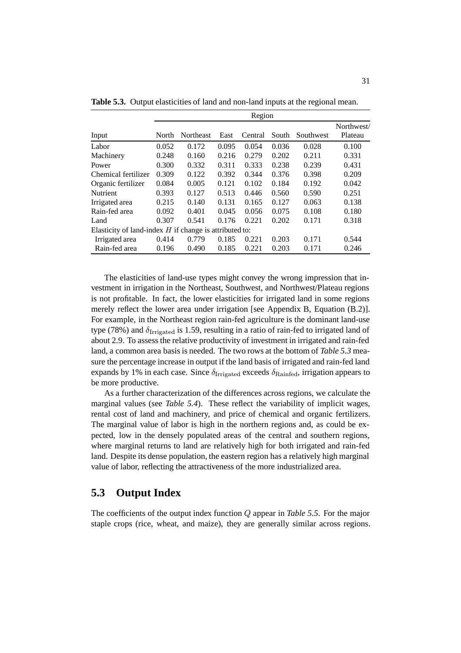|                                                          | region |                  |       |         |       |           |            |  |  |  |
|----------------------------------------------------------|--------|------------------|-------|---------|-------|-----------|------------|--|--|--|
|                                                          |        |                  |       |         |       |           | Northwest/ |  |  |  |
| Input                                                    | North  | <b>Northeast</b> | East  | Central | South | Southwest | Plateau    |  |  |  |
| Labor                                                    | 0.052  | 0.172            | 0.095 | 0.054   | 0.036 | 0.028     | 0.100      |  |  |  |
| Machinery                                                | 0.248  | 0.160            | 0.216 | 0.279   | 0.202 | 0.211     | 0.331      |  |  |  |
| Power                                                    | 0.300  | 0.332            | 0.311 | 0.333   | 0.238 | 0.239     | 0.431      |  |  |  |
| Chemical fertilizer                                      | 0.309  | 0.122            | 0.392 | 0.344   | 0.376 | 0.398     | 0.209      |  |  |  |
| Organic fertilizer                                       | 0.084  | 0.005            | 0.121 | 0.102   | 0.184 | 0.192     | 0.042      |  |  |  |
| <b>Nutrient</b>                                          | 0.393  | 0.127            | 0.513 | 0.446   | 0.560 | 0.590     | 0.251      |  |  |  |
| Irrigated area                                           | 0.215  | 0.140            | 0.131 | 0.165   | 0.127 | 0.063     | 0.138      |  |  |  |
| Rain-fed area                                            | 0.092  | 0.401            | 0.045 | 0.056   | 0.075 | 0.108     | 0.180      |  |  |  |
| Land                                                     | 0.307  | 0.541            | 0.176 | 0.221   | 0.202 | 0.171     | 0.318      |  |  |  |
| Elasticity of land-index $H$ if change is attributed to: |        |                  |       |         |       |           |            |  |  |  |
| Irrigated area                                           | 0.414  | 0.779            | 0.185 | 0.221   | 0.203 | 0.171     | 0.544      |  |  |  |
| Rain-fed area                                            | 0.196  | 0.490            | 0.185 | 0.221   | 0.203 | 0.171     | 0.246      |  |  |  |

**Table 5.3.** Output elasticities of land and non-land inputs at the regional mean.

Region

The elasticities of land-use types might convey the wrong impression that investment in irrigation in the Northeast, Southwest, and Northwest/Plateau regions is not profitable. In fact, the lower elasticities for irrigated land in some regions merely reflect the lower area under irrigation [see Appendix B, Equation (B.2)]. For example, in the Northeast region rain-fed agriculture is the dominant land-use type (78%) and  $\delta_{\rm{Irrigated}}$  is 1.59, resulting in a ratio of rain-fed to irrigated land of about 2.9. To assess the relative productivity of investment in irrigated and rain-fed land, a common area basis is needed. The two rows at the bottom of *Table 5.3* measure the percentage increase in output if the land basis of irrigated and rain-fed land expands by 1% in each case. Since  $\delta_{\text{Irrigated}}$  exceeds  $\delta_{\text{Rainfed}}$ , irrigation appears to be more productive.

As a further characterization of the differences across regions, we calculate the marginal values (see *Table 5.4*). These reflect the variability of implicit wages, rental cost of land and machinery, and price of chemical and organic fertilizers. The marginal value of labor is high in the northern regions and, as could be expected, low in the densely populated areas of the central and southern regions, where marginal returns to land are relatively high for both irrigated and rain-fed land. Despite its dense population, the eastern region has a relatively high marginal value of labor, reflecting the attractiveness of the more industrialized area.

#### **5.3 Output Index**

The coefficients of the output index function Q appear in *Table 5.5*. For the major staple crops (rice, wheat, and maize), they are generally similar across regions.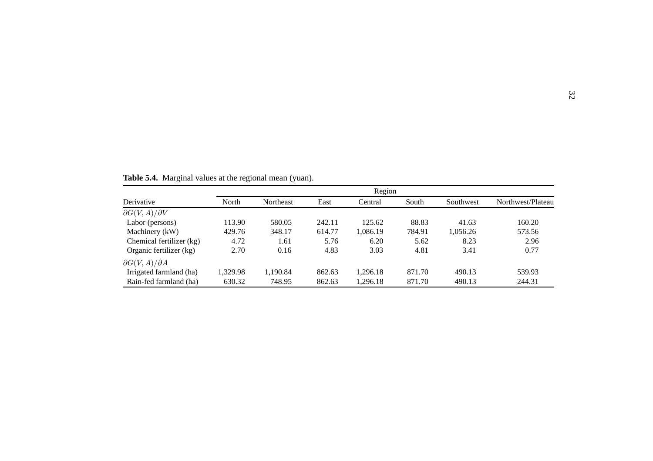|                              |          | Region    |        |          |        |           |                   |  |  |  |
|------------------------------|----------|-----------|--------|----------|--------|-----------|-------------------|--|--|--|
| Derivative                   | North    | Northeast | East   | Central  | South  | Southwest | Northwest/Plateau |  |  |  |
| $\partial G(V,A)/\partial V$ |          |           |        |          |        |           |                   |  |  |  |
| Labor (persons)              | 113.90   | 580.05    | 242.11 | 125.62   | 88.83  | 41.63     | 160.20            |  |  |  |
| Machinery (kW)               | 429.76   | 348.17    | 614.77 | 1,086.19 | 784.91 | 1,056.26  | 573.56            |  |  |  |
| Chemical fertilizer (kg)     | 4.72     | 1.61      | 5.76   | 6.20     | 5.62   | 8.23      | 2.96              |  |  |  |
| Organic fertilizer (kg)      | 2.70     | 0.16      | 4.83   | 3.03     | 4.81   | 3.41      | 0.77              |  |  |  |
| $\partial G(V,A)/\partial A$ |          |           |        |          |        |           |                   |  |  |  |
| Irrigated farmland (ha)      | 1,329.98 | 1,190.84  | 862.63 | 1,296.18 | 871.70 | 490.13    | 539.93            |  |  |  |
| Rain-fed farmland (ha)       | 630.32   | 748.95    | 862.63 | 1.296.18 | 871.70 | 490.13    | 244.31            |  |  |  |

**Table 5.4.** Marginal values at the regional mean (yuan).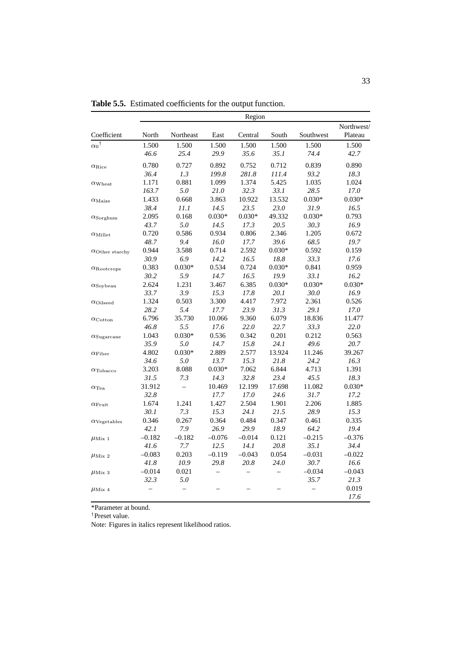|                            |          |           |                   | Region   |          |           |            |
|----------------------------|----------|-----------|-------------------|----------|----------|-----------|------------|
|                            |          |           |                   |          |          |           | Northwest/ |
| Coefficient                | North    | Northeast | East              | Central  | South    | Southwest | Plateau    |
| ${\alpha_0}^\dagger$       | 1.500    | 1.500     | 1.500             | 1.500    | 1.500    | 1.500     | 1.500      |
|                            | 46.6     | 25.4      | 29.9              | 35.6     | 35.1     | 74.4      | 42.7       |
| $\alpha_{\rm Rice}$        | 0.780    | 0.727     | 0.892             | 0.752    | 0.712    | 0.839     | 0.890      |
|                            | 36.4     | 1.3       | 199.8             | 281.8    | 111.4    | 93.2      | 18.3       |
| $\alpha_{\rm{Wheat}}$      | 1.171    | 0.881     | 1.099             | 1.374    | 5.425    | 1.035     | 1.024      |
|                            | 163.7    | 5.0       | 21.0              | 32.3     | 33.1     | 28.5      | 17.0       |
| $\alpha_{\rm Maize}$       | 1.433    | 0.668     | 3.863             | 10.922   | 13.532   | $0.030*$  | $0.030*$   |
|                            | 38.4     | 11.1      | 14.5              | 23.5     | 23.0     | 31.9      | 16.5       |
| $\alpha$ Sorghum           | 2.095    | 0.168     | $0.030*$          | $0.030*$ | 49.332   | $0.030*$  | 0.793      |
|                            | 43.7     | 5.0       | 14.5              | 17.3     | 20.5     | 30.3      | 16.9       |
| $\alpha_{\mathrm{Millet}}$ | 0.720    | 0.586     | 0.934             | 0.806    | 2.346    | 1.205     | 0.672      |
|                            | 48.7     | 9.4       | 16.0              | 17.7     | 39.6     | 68.5      | 19.7       |
| $\alpha$ Other starchy     | 0.944    | 3.588     | 0.714             | 2.592    | $0.030*$ | 0.592     | 0.159      |
|                            | 30.9     | 6.9       | 14.2              | 16.5     | 18.8     | 33.3      | 17.6       |
| $\alpha$ Rootcrops         | 0.383    | $0.030*$  | 0.534             | 0.724    | $0.030*$ | 0.841     | 0.959      |
|                            | 30.2     | 5.9       | 14.7              | 16.5     | 19.9     | 33.1      | 16.2       |
| $\alpha$ Soybean           | 2.624    | 1.231     | 3.467             | 6.385    | $0.030*$ | $0.030*$  | $0.030*$   |
|                            | 33.7     | 3.9       | 15.3              | 17.8     | 20.1     | 30.0      | 16.9       |
| $\alpha_{\rm Oilseed}$     | 1.324    | 0.503     | 3.300             | 4.417    | 7.972    | 2.361     | 0.526      |
|                            | 28.2     | 5.4       | 17.7              | 23.9     | 31.3     | 29.1      | 17.0       |
| $\alpha_{\rm Cotton}$      | 6.796    | 35.730    | 10.066            | 9.360    | 6.079    | 18.836    | 11.477     |
|                            | 46.8     | 5.5       | 17.6              | 22.0     | 22.7     | 33.3      | 22.0       |
| $\alpha$ Sugarcane         | 1.043    | $0.030*$  | 0.536             | 0.342    | 0.201    | 0.212     | 0.563      |
|                            | 35.9     | 5.0       | 14.7              | 15.8     | 24.1     | 49.6      | 20.7       |
| $\alpha$ Fiber             | 4.802    | $0.030*$  | 2.889             | 2.577    | 13.924   | 11.246    | 39.267     |
|                            | 34.6     | 5.0       | 13.7              | 15.3     | 21.8     | 24.2      | 16.3       |
| $\alpha$ Tobacco           | 3.203    | 8.088     | $0.030*$          | 7.062    | 6.844    | 4.713     | 1.391      |
|                            | 31.5     | 7.3       | 14.3              | 32.8     | 23.4     | 45.5      | 18.3       |
| $\alpha$ Tea               | 31.912   | $\equiv$  | 10.469            | 12.199   | 17.698   | 11.082    | $0.030*$   |
|                            | 32.8     |           | 17.7              | 17.0     | 24.6     | 31.7      | 17.2       |
| $\alpha$ Fruit             | 1.674    | 1.241     | 1.427             | 2.504    | 1.901    | 2.206     | 1.885      |
|                            | 30.1     | 7.3       | 15.3              | 24.1     | 21.5     | 28.9      | 15.3       |
| $\alpha_{\rm Vegetables}$  | 0.346    | 0.267     | 0.364             | 0.484    | 0.347    | 0.461     | 0.335      |
|                            | 42.1     | 7.9       | 26.9              | 29.9     | 18.9     | 64.2      | 19.4       |
| $\mu_{\rm Mix\ 1}$         | $-0.182$ | $-0.182$  | $-0.076$          | $-0.014$ | 0.121    | $-0.215$  | $-0.376$   |
|                            | 41.6     | 7.7       | 12.5              | 14.1     | 20.8     | 35.1      | 34.4       |
| $\mu_{\rm Mix\ 2}$         | $-0.083$ | 0.203     | $-0.119$          | $-0.043$ | 0.054    | $-0.031$  | $-0.022$   |
|                            | 41.8     | 10.9      | 29.8              | 20.8     | 24.0     | 30.7      | 16.6       |
| $\mu_{\rm Mix\ 3}$         | $-0.014$ | 0.021     | $\qquad \qquad -$ | $\equiv$ | ÷,       | $-0.034$  | $-0.043$   |
|                            | 32.3     | 5.0       |                   |          |          | 35.7      | 21.3       |
| $\mu$ Mix 4                |          |           |                   |          |          |           | 0.019      |
|                            |          |           |                   |          |          |           | 17.6       |

**Table 5.5.** Estimated coefficients for the output function.

\*Parameter at bound.

†Preset value.

Note: Figures in italics represent likelihood ratios.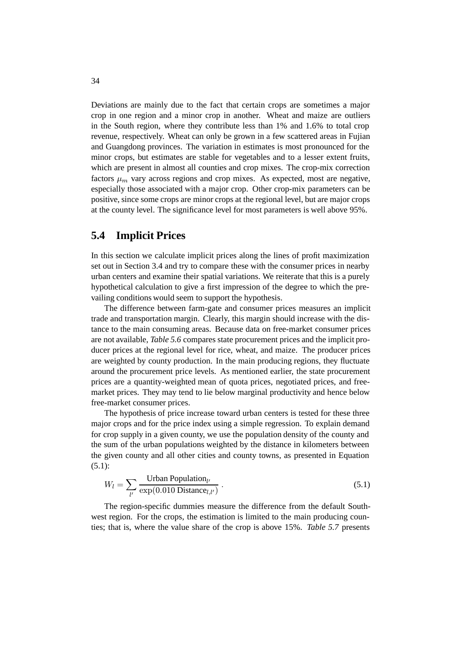Deviations are mainly due to the fact that certain crops are sometimes a major crop in one region and a minor crop in another. Wheat and maize are outliers in the South region, where they contribute less than 1% and 1.6% to total crop revenue, respectively. Wheat can only be grown in a few scattered areas in Fujian and Guangdong provinces. The variation in estimates is most pronounced for the minor crops, but estimates are stable for vegetables and to a lesser extent fruits, which are present in almost all counties and crop mixes. The crop-mix correction factors  $\mu_m$  vary across regions and crop mixes. As expected, most are negative, especially those associated with a major crop. Other crop-mix parameters can be positive, since some crops are minor crops at the regional level, but are major crops at the county level. The significance level for most parameters is well above 95%.

#### **5.4 Implicit Prices**

In this section we calculate implicit prices along the lines of profit maximization set out in Section 3.4 and try to compare these with the consumer prices in nearby urban centers and examine their spatial variations. We reiterate that this is a purely hypothetical calculation to give a first impression of the degree to which the prevailing conditions would seem to support the hypothesis.

The difference between farm-gate and consumer prices measures an implicit trade and transportation margin. Clearly, this margin should increase with the distance to the main consuming areas. Because data on free-market consumer prices are not available, *Table 5.6* compares state procurement prices and the implicit producer prices at the regional level for rice, wheat, and maize. The producer prices are weighted by county production. In the main producing regions, they fluctuate around the procurement price levels. As mentioned earlier, the state procurement prices are a quantity-weighted mean of quota prices, negotiated prices, and freemarket prices. They may tend to lie below marginal productivity and hence below free-market consumer prices.

The hypothesis of price increase toward urban centers is tested for these three major crops and for the price index using a simple regression. To explain demand for crop supply in a given county, we use the population density of the county and the sum of the urban populations weighted by the distance in kilometers between the given county and all other cities and county towns, as presented in Equation (5.1):

$$
W_l = \sum_{l'} \frac{\text{Urban Population}_{l'}}{\exp(0.010 \text{ Distance}_{l,l'})} \,. \tag{5.1}
$$

The region-specific dummies measure the difference from the default Southwest region. For the crops, the estimation is limited to the main producing counties; that is, where the value share of the crop is above 15%. *Table 5.7* presents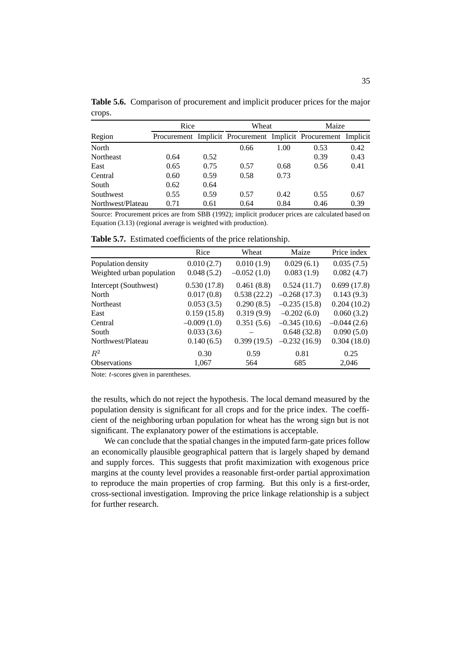|        | Table 5.6. Comparison of procurement and implicit producer prices for the major |  |
|--------|---------------------------------------------------------------------------------|--|
| crops. |                                                                                 |  |

|                   | Rice |      | Wheat                                                          |      | Maize |      |
|-------------------|------|------|----------------------------------------------------------------|------|-------|------|
| Region            |      |      | Procurement Implicit Procurement Implicit Procurement Implicit |      |       |      |
| North             |      |      | 0.66                                                           | 1.00 | 0.53  | 0.42 |
| <b>Northeast</b>  | 0.64 | 0.52 |                                                                |      | 0.39  | 0.43 |
| East              | 0.65 | 0.75 | 0.57                                                           | 0.68 | 0.56  | 0.41 |
| Central           | 0.60 | 0.59 | 0.58                                                           | 0.73 |       |      |
| South             | 0.62 | 0.64 |                                                                |      |       |      |
| Southwest         | 0.55 | 0.59 | 0.57                                                           | 0.42 | 0.55  | 0.67 |
| Northwest/Plateau | 0.71 | 0.61 | 0.64                                                           | 0.84 | 0.46  | 0.39 |

Source: Procurement prices are from SBB (1992); implicit producer prices are calculated based on Equation (3.13) (regional average is weighted with production).

|                           | Rice          | Wheat         | Maize          | Price index   |
|---------------------------|---------------|---------------|----------------|---------------|
| Population density        | 0.010(2.7)    | 0.010(1.9)    | 0.029(6.1)     | 0.035(7.5)    |
| Weighted urban population | 0.048(5.2)    | $-0.052(1.0)$ | 0.083(1.9)     | 0.082(4.7)    |
| Intercept (Southwest)     | 0.530(17.8)   | 0.461(8.8)    | 0.524(11.7)    | 0.699(17.8)   |
| North                     | 0.017(0.8)    | 0.538(22.2)   | $-0.268(17.3)$ | 0.143(9.3)    |
| Northeast                 | 0.053(3.5)    | 0.290(8.5)    | $-0.235(15.8)$ | 0.204(10.2)   |
| East                      | 0.159(15.8)   | 0.319(9.9)    | $-0.202(6.0)$  | 0.060(3.2)    |
| Central                   | $-0.009(1.0)$ | 0.351(5.6)    | $-0.345(10.6)$ | $-0.044(2.6)$ |
| South                     | 0.033(3.6)    |               | 0.648(32.8)    | 0.090(5.0)    |
| Northwest/Plateau         | 0.140(6.5)    | 0.399(19.5)   | $-0.232(16.9)$ | 0.304(18.0)   |
| $R^2$                     | 0.30          | 0.59          | 0.81           | 0.25          |
| <b>Observations</b>       | 1.067         | 564           | 685            | 2.046         |

**Table 5.7.** Estimated coefficients of the price relationship.

Note: t-scores given in parentheses.

the results, which do not reject the hypothesis. The local demand measured by the population density is significant for all crops and for the price index. The coefficient of the neighboring urban population for wheat has the wrong sign but is not significant. The explanatory power of the estimations is acceptable.

We can conclude that the spatial changes in the imputed farm-gate prices follow an economically plausible geographical pattern that is largely shaped by demand and supply forces. This suggests that profit maximization with exogenous price margins at the county level provides a reasonable first-order partial approximation to reproduce the main properties of crop farming. But this only is a first-order, cross-sectional investigation. Improving the price linkage relationship is a subject for further research.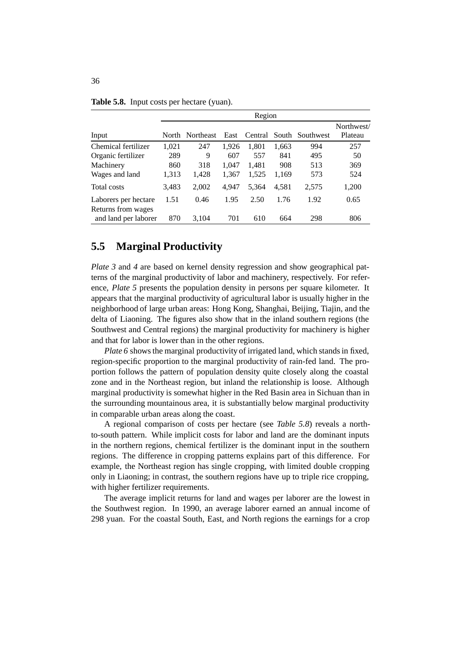|                      | Region |                 |       |         |       |                 |            |
|----------------------|--------|-----------------|-------|---------|-------|-----------------|------------|
|                      |        |                 |       |         |       |                 | Northwest/ |
| Input                |        | North Northeast | East  | Central |       | South Southwest | Plateau    |
| Chemical fertilizer  | 1,021  | 247             | 1.926 | 1,801   | 1,663 | 994             | 257        |
| Organic fertilizer   | 289    | 9               | 607   | 557     | 841   | 495             | 50         |
| Machinery            | 860    | 318             | 1.047 | 1.481   | 908   | 513             | 369        |
| Wages and land       | 1,313  | 1,428           | 1,367 | 1,525   | 1,169 | 573             | 524        |
| Total costs          | 3,483  | 2,002           | 4.947 | 5.364   | 4.581 | 2,575           | 1,200      |
| Laborers per hectare | 1.51   | 0.46            | 1.95  | 2.50    | 1.76  | 1.92            | 0.65       |
| Returns from wages   |        |                 |       |         |       |                 |            |
| and land per laborer | 870    | 3,104           | 701   | 610     | 664   | 298             | 806        |

**Table 5.8.** Input costs per hectare (yuan).

#### **5.5 Marginal Productivity**

*Plate 3* and 4 are based on kernel density regression and show geographical patterns of the marginal productivity of labor and machinery, respectively. For reference, *Plate 5* presents the population density in persons per square kilometer. It appears that the marginal productivity of agricultural labor is usually higher in the neighborhood of large urban areas: Hong Kong, Shanghai, Beijing, Tiajin, and the delta of Liaoning. The figures also show that in the inland southern regions (the Southwest and Central regions) the marginal productivity for machinery is higher and that for labor is lower than in the other regions.

*Plate 6* shows the marginal productivity of irrigated land, which stands in fixed, region-specific proportion to the marginal productivity of rain-fed land. The proportion follows the pattern of population density quite closely along the coastal zone and in the Northeast region, but inland the relationship is loose. Although marginal productivity is somewhat higher in the Red Basin area in Sichuan than in the surrounding mountainous area, it is substantially below marginal productivity in comparable urban areas along the coast.

A regional comparison of costs per hectare (see *Table 5.8*) reveals a northto-south pattern. While implicit costs for labor and land are the dominant inputs in the northern regions, chemical fertilizer is the dominant input in the southern regions. The difference in cropping patterns explains part of this difference. For example, the Northeast region has single cropping, with limited double cropping only in Liaoning; in contrast, the southern regions have up to triple rice cropping, with higher fertilizer requirements.

The average implicit returns for land and wages per laborer are the lowest in the Southwest region. In 1990, an average laborer earned an annual income of 298 yuan. For the coastal South, East, and North regions the earnings for a crop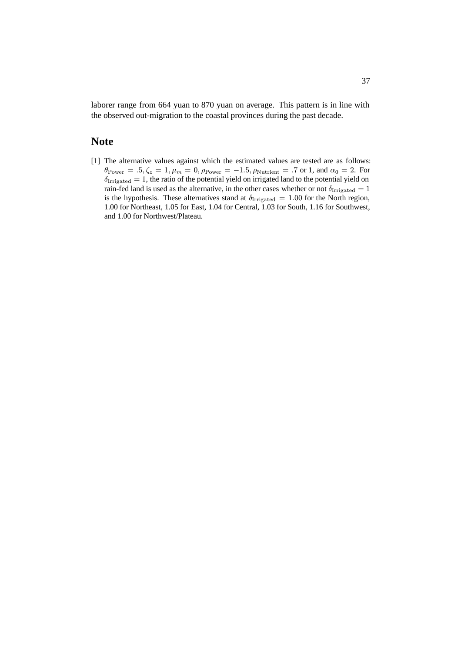laborer range from 664 yuan to 870 yuan on average. This pattern is in line with the observed out-migration to the coastal provinces during the past decade.

#### **Note**

[1] The alternative values against which the estimated values are tested are as follows:  $\theta_{\text{Power}} = .5, \zeta_z = 1, \mu_m = 0, \rho_{\text{Power}} = -1.5, \rho_{\text{Nutrient}} = .7 \text{ or } 1, \text{ and } \alpha_0 = 2. \text{ For }$  $\delta_{\text{Irrigated}} = 1$ , the ratio of the potential yield on irrigated land to the potential yield on rain-fed land is used as the alternative, in the other cases whether or not  $\delta_{\rm{Irrigated}} = 1$ is the hypothesis. These alternatives stand at  $\delta_{\text{Irrigated}} = 1.00$  for the North region, 1.00 for Northeast, 1.05 for East, 1.04 for Central, 1.03 for South, 1.16 for Southwest, and 1.00 for Northwest/Plateau.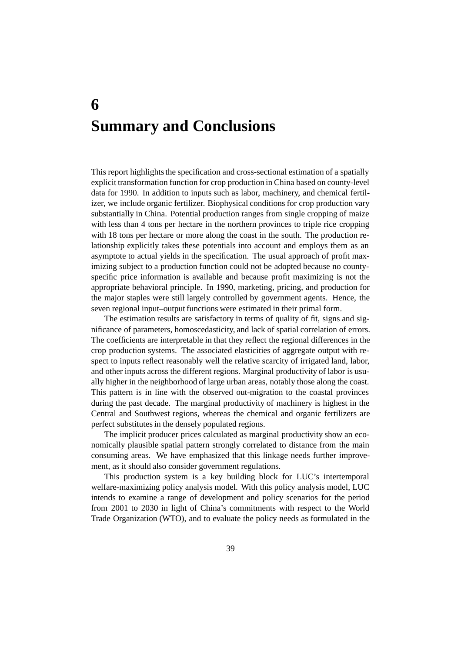# **Summary and Conclusions**

**6**

This report highlights the specification and cross-sectional estimation of a spatially explicit transformation function for crop production in China based on county-level data for 1990. In addition to inputs such as labor, machinery, and chemical fertilizer, we include organic fertilizer. Biophysical conditions for crop production vary substantially in China. Potential production ranges from single cropping of maize with less than 4 tons per hectare in the northern provinces to triple rice cropping with 18 tons per hectare or more along the coast in the south. The production relationship explicitly takes these potentials into account and employs them as an asymptote to actual yields in the specification. The usual approach of profit maximizing subject to a production function could not be adopted because no countyspecific price information is available and because profit maximizing is not the appropriate behavioral principle. In 1990, marketing, pricing, and production for the major staples were still largely controlled by government agents. Hence, the seven regional input–output functions were estimated in their primal form.

The estimation results are satisfactory in terms of quality of fit, signs and significance of parameters, homoscedasticity, and lack of spatial correlation of errors. The coefficients are interpretable in that they reflect the regional differences in the crop production systems. The associated elasticities of aggregate output with respect to inputs reflect reasonably well the relative scarcity of irrigated land, labor, and other inputs across the different regions. Marginal productivity of labor is usually higher in the neighborhood of large urban areas, notably those along the coast. This pattern is in line with the observed out-migration to the coastal provinces during the past decade. The marginal productivity of machinery is highest in the Central and Southwest regions, whereas the chemical and organic fertilizers are perfect substitutes in the densely populated regions.

The implicit producer prices calculated as marginal productivity show an economically plausible spatial pattern strongly correlated to distance from the main consuming areas. We have emphasized that this linkage needs further improvement, as it should also consider government regulations.

This production system is a key building block for LUC's intertemporal welfare-maximizing policy analysis model. With this policy analysis model, LUC intends to examine a range of development and policy scenarios for the period from 2001 to 2030 in light of China's commitments with respect to the World Trade Organization (WTO), and to evaluate the policy needs as formulated in the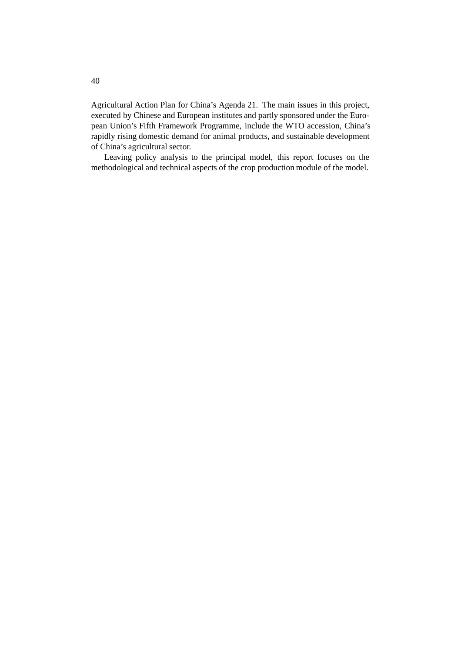Agricultural Action Plan for China's Agenda 21. The main issues in this project, executed by Chinese and European institutes and partly sponsored under the European Union's Fifth Framework Programme, include the WTO accession, China's rapidly rising domestic demand for animal products, and sustainable development of China's agricultural sector.

Leaving policy analysis to the principal model, this report focuses on the methodological and technical aspects of the crop production module of the model.

40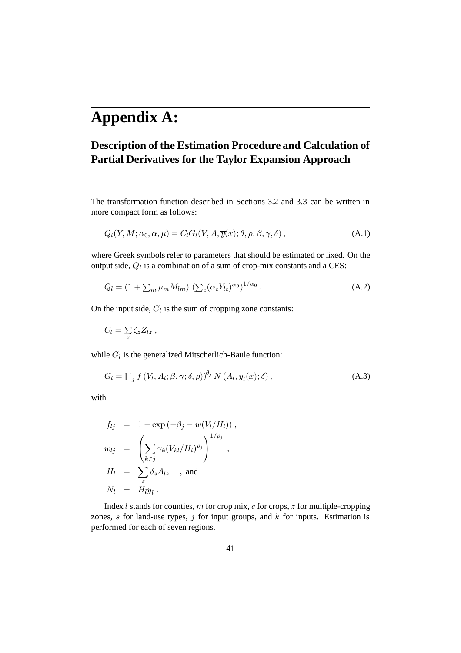## **Appendix A:**

### **Description of the Estimation Procedure and Calculation of Partial Derivatives for the Taylor Expansion Approach**

The transformation function described in Sections 3.2 and 3.3 can be written in more compact form as follows:

$$
Q_l(Y, M; \alpha_0, \alpha, \mu) = C_l G_l(V, A, \overline{y}(x); \theta, \rho, \beta, \gamma, \delta), \qquad (A.1)
$$

where Greek symbols refer to parameters that should be estimated or fixed. On the output side,  $Q_l$  is a combination of a sum of crop-mix constants and a CES:

$$
Q_l = \left(1 + \sum_m \mu_m M_{lm}\right) \left(\sum_c (\alpha_c Y_{lc})^{\alpha_0}\right)^{1/\alpha_0}.\tag{A.2}
$$

On the input side,  $C_l$  is the sum of cropping zone constants:

$$
C_l = \sum_{z} \zeta_z Z_{lz} ,
$$

while  $G_l$  is the generalized Mitscherlich-Baule function:

$$
G_l = \prod_j f(V_l, A_l; \beta, \gamma; \delta, \rho)^{\theta_j} N(A_l, \overline{y}_l(x); \delta), \qquad (A.3)
$$

with

$$
f_{lj} = 1 - \exp(-\beta_j - w(V_l/H_l)),
$$
  
\n
$$
w_{lj} = \left(\sum_{k \in j} \gamma_k (V_{kl}/H_l)^{\rho_j}\right)^{1/\rho_j},
$$
  
\n
$$
H_l = \sum_s \delta_s A_{ls} , \text{ and}
$$
  
\n
$$
N_l = H_l \overline{y}_l.
$$

Index  $l$  stands for counties,  $m$  for crop mix,  $c$  for crops,  $z$  for multiple-cropping zones,  $s$  for land-use types,  $j$  for input groups, and  $k$  for inputs. Estimation is performed for each of seven regions.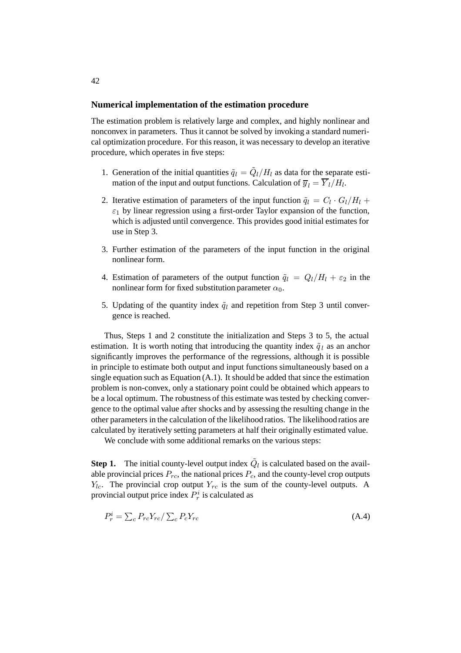#### **Numerical implementation of the estimation procedure**

The estimation problem is relatively large and complex, and highly nonlinear and nonconvex in parameters. Thus it cannot be solved by invoking a standard numerical optimization procedure. For this reason, it was necessary to develop an iterative procedure, which operates in five steps:

- 1. Generation of the initial quantities  $\tilde{q}_l = \tilde{Q}_l / H_l$  as data for the separate estimation of the input and output functions. Calculation of  $\overline{y}_l = \overline{Y}_l / H_l$ .
- 2. Iterative estimation of parameters of the input function  $\tilde{q}_l = C_l \cdot G_l / H_l +$  $\varepsilon_1$  by linear regression using a first-order Taylor expansion of the function, which is adjusted until convergence. This provides good initial estimates for use in Step 3.
- 3. Further estimation of the parameters of the input function in the original nonlinear form.
- 4. Estimation of parameters of the output function  $\tilde{q}_l = Q_l/H_l + \varepsilon_2$  in the nonlinear form for fixed substitution parameter  $\alpha_0$ .
- 5. Updating of the quantity index  $\tilde{q}_l$  and repetition from Step 3 until convergence is reached.

Thus, Steps 1 and 2 constitute the initialization and Steps 3 to 5, the actual estimation. It is worth noting that introducing the quantity index  $\tilde{q}_l$  as an anchor significantly improves the performance of the regressions, although it is possible in principle to estimate both output and input functions simultaneously based on a single equation such as Equation (A.1). It should be added that since the estimation problem is non-convex, only a stationary point could be obtained which appears to be a local optimum. The robustness of this estimate was tested by checking convergence to the optimal value after shocks and by assessing the resulting change in the other parameters in the calculation of the likelihood ratios. The likelihood ratios are calculated by iteratively setting parameters at half their originally estimated value.

We conclude with some additional remarks on the various steps:

**Step 1.** The initial county-level output index  $\tilde{Q}_l$  is calculated based on the available provincial prices  $P_{rc}$ , the national prices  $P_c$ , and the county-level crop outputs  $Y_{lc}$ . The provincial crop output  $Y_{rc}$  is the sum of the county-level outputs. A provincial output price index  $P_r^i$  is calculated as

$$
P_r^i = \sum_c P_{rc} Y_{rc} / \sum_c P_c Y_{rc}
$$
 (A.4)

#### 42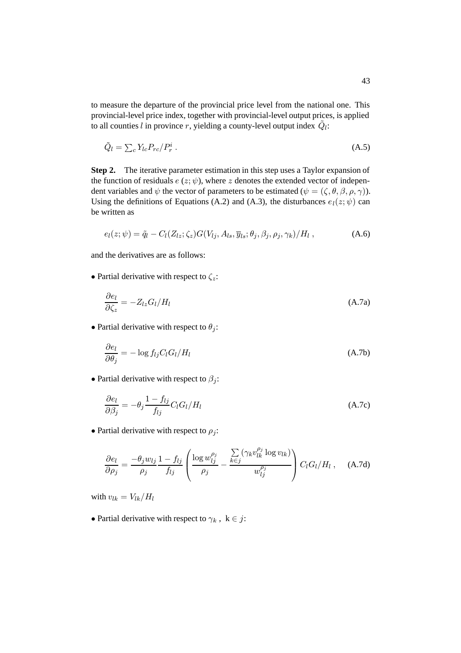to measure the departure of the provincial price level from the national one. This provincial-level price index, together with provincial-level output prices, is applied to all counties l in province r, yielding a county-level output index  $\tilde{Q}_l$ :

$$
\tilde{Q}_l = \sum_c Y_{lc} P_{rc} / P_r^i \,. \tag{A.5}
$$

**Step 2.** The iterative parameter estimation in this step uses a Taylor expansion of the function of residuals  $e(z; \psi)$ , where z denotes the extended vector of independent variables and  $\psi$  the vector of parameters to be estimated  $(\psi = (\zeta, \theta, \beta, \rho, \gamma))$ . Using the definitions of Equations (A.2) and (A.3), the disturbances  $e_l(z; \psi)$  can be written as

$$
e_l(z; \psi) = \tilde{q}_l - C_l(Z_{lz}; \zeta_z) G(V_{lj}, A_{ls}, \overline{y}_{ls}; \theta_j, \beta_j, \rho_j, \gamma_k) / H_l , \qquad (A.6)
$$

and the derivatives are as follows:

• Partial derivative with respect to  $\zeta_z$ :

$$
\frac{\partial e_l}{\partial \zeta_z} = -Z_{lz} G_l / H_l \tag{A.7a}
$$

• Partial derivative with respect to  $\theta_i$ :

$$
\frac{\partial e_l}{\partial \theta_j} = -\log f_{lj} C_l G_l / H_l \tag{A.7b}
$$

• Partial derivative with respect to  $\beta_i$ :

$$
\frac{\partial e_l}{\partial \beta_j} = -\theta_j \frac{1 - f_{lj}}{f_{lj}} C_l G_l / H_l
$$
\n(A.7c)

• Partial derivative with respect to  $\rho_i$ :

$$
\frac{\partial e_l}{\partial \rho_j} = \frac{-\theta_j w_{lj}}{\rho_j} \frac{1 - f_{lj}}{f_{lj}} \left( \frac{\log w_{lj}^{\rho_j}}{\rho_j} - \frac{\sum\limits_{k \in j} (\gamma_k v_{lk}^{\rho_j} \log v_{lk})}{w_{lj}^{\rho_j}} \right) C_l G_l / H_l , \quad (A.7d)
$$

with  $v_{lk} = V_{lk}/H_l$ 

• Partial derivative with respect to  $\gamma_k$ ,  $k \in j$ :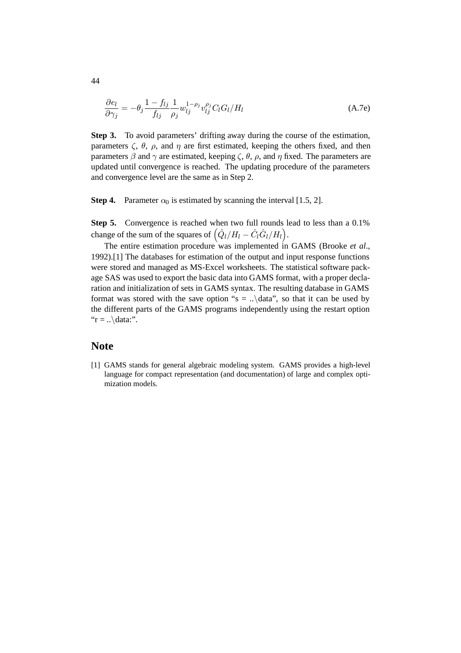$$
\frac{\partial e_l}{\partial \gamma_j} = -\theta_j \frac{1 - f_{lj}}{f_{lj}} \frac{1}{\rho_j} w_{lj}^{1 - \rho_j} v_{lj}^{\rho_j} C_l G_l / H_l \tag{A.7e}
$$

**Step 3.** To avoid parameters' drifting away during the course of the estimation, parameters  $\zeta$ ,  $\theta$ ,  $\rho$ , and  $\eta$  are first estimated, keeping the others fixed, and then parameters  $\beta$  and  $\gamma$  are estimated, keeping  $\zeta$ ,  $\theta$ ,  $\rho$ , and  $\eta$  fixed. The parameters are updated until convergence is reached. The updating procedure of the parameters and convergence level are the same as in Step 2.

**Step 4.** Parameter  $\alpha_0$  is estimated by scanning the interval [1.5, 2].

**Step 5.** Convergence is reached when two full rounds lead to less than a 0.1% change of the sum of the squares of  $(\hat{Q}_l/H_l - \hat{C}_l\hat{G}_l/H_l).$ 

The entire estimation procedure was implemented in GAMS (Brooke *et al*., 1992).[1] The databases for estimation of the output and input response functions were stored and managed as MS-Excel worksheets. The statistical software package SAS was used to export the basic data into GAMS format, with a proper declaration and initialization of sets in GAMS syntax. The resulting database in GAMS format was stored with the save option "s = ... \data", so that it can be used by the different parts of the GAMS programs independently using the restart option " $r = \ldots$  \data:".

#### **Note**

[1] GAMS stands for general algebraic modeling system. GAMS provides a high-level language for compact representation (and documentation) of large and complex optimization models.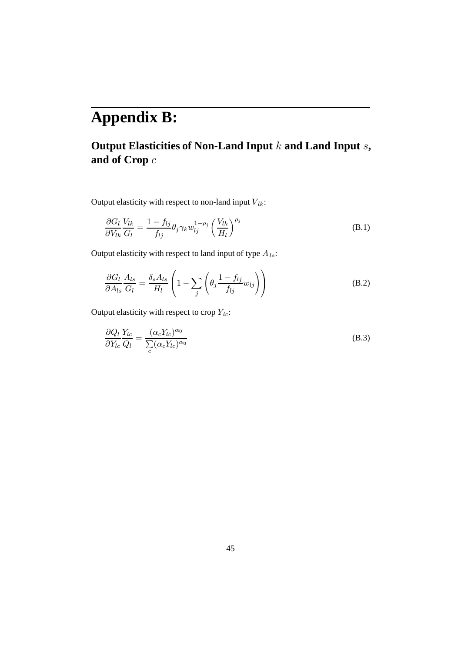# **Appendix B:**

### **Output Elasticities of Non-Land Input** k **and Land Input** s**, and of Crop** c

Output elasticity with respect to non-land input  $V_{lk}$ :

$$
\frac{\partial G_l}{\partial V_{lk}} \frac{V_{lk}}{G_l} = \frac{1 - f_{lj}}{f_{lj}} \theta_j \gamma_k w_{lj}^{1 - \rho_j} \left(\frac{V_{lk}}{H_l}\right)^{\rho_j}
$$
(B.1)

Output elasticity with respect to land input of type  $A_{ls}$ :

$$
\frac{\partial G_l}{\partial A_{ls}} \frac{A_{ls}}{G_l} = \frac{\delta_s A_{ls}}{H_l} \left( 1 - \sum_j \left( \theta_j \frac{1 - f_{lj}}{f_{lj}} w_{lj} \right) \right)
$$
(B.2)

Output elasticity with respect to crop  $Y_{lc}$ :

$$
\frac{\partial Q_l}{\partial Y_{lc}} \frac{Y_{lc}}{Q_l} = \frac{(\alpha_c Y_{lc})^{\alpha_0}}{\sum_c (\alpha_c Y_{lc})^{\alpha_0}}
$$
(B.3)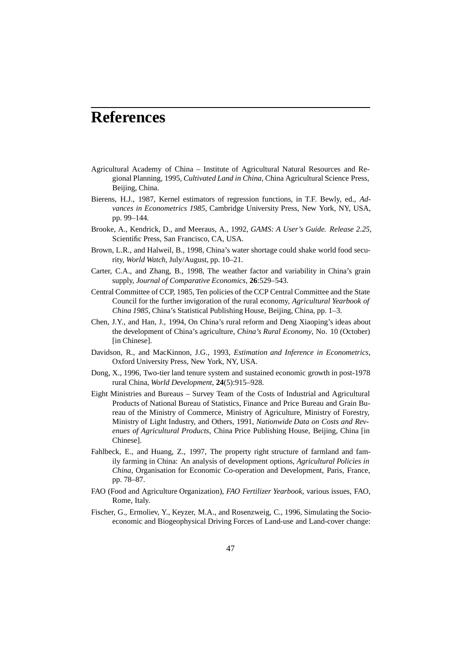### **References**

- Agricultural Academy of China Institute of Agricultural Natural Resources and Regional Planning, 1995, *Cultivated Land in China*, China Agricultural Science Press, Beijing, China.
- Bierens, H.J., 1987, Kernel estimators of regression functions, in T.F. Bewly, ed., *Advances in Econometrics 1985*, Cambridge University Press, New York, NY, USA, pp. 99–144.
- Brooke, A., Kendrick, D., and Meeraus, A., 1992, *GAMS: A User's Guide. Release 2.25*, Scientific Press, San Francisco, CA, USA.
- Brown, L.R., and Halweil, B., 1998, China's water shortage could shake world food security, *World Watch*, July/August, pp. 10–21.
- Carter, C.A., and Zhang, B., 1998, The weather factor and variability in China's grain supply, *Journal of Comparative Economics*, **26**:529–543.
- Central Committee of CCP, 1985, Ten policies of the CCP Central Committee and the State Council for the further invigoration of the rural economy, *Agricultural Yearbook of China 1985*, China's Statistical Publishing House, Beijing, China, pp. 1–3.
- Chen, J.Y., and Han, J., 1994, On China's rural reform and Deng Xiaoping's ideas about the development of China's agriculture, *China's Rural Economy*, No. 10 (October) [in Chinese].
- Davidson, R., and MacKinnon, J.G., 1993, *Estimation and Inference in Econometrics*, Oxford University Press, New York, NY, USA.
- Dong, X., 1996, Two-tier land tenure system and sustained economic growth in post-1978 rural China, *World Development*, **24**(5):915–928.
- Eight Ministries and Bureaus Survey Team of the Costs of Industrial and Agricultural Products of National Bureau of Statistics, Finance and Price Bureau and Grain Bureau of the Ministry of Commerce, Ministry of Agriculture, Ministry of Forestry, Ministry of Light Industry, and Others, 1991, *Nationwide Data on Costs and Revenues of Agricultural Products*, China Price Publishing House, Beijing, China [in Chinese].
- Fahlbeck, E., and Huang, Z., 1997, The property right structure of farmland and family farming in China: An analysis of development options, *Agricultural Policies in China*, Organisation for Economic Co-operation and Development, Paris, France, pp. 78–87.
- FAO (Food and Agriculture Organization), *FAO Fertilizer Yearbook*, various issues, FAO, Rome, Italy.
- Fischer, G., Ermoliev, Y., Keyzer, M.A., and Rosenzweig, C., 1996, Simulating the Socioeconomic and Biogeophysical Driving Forces of Land-use and Land-cover change: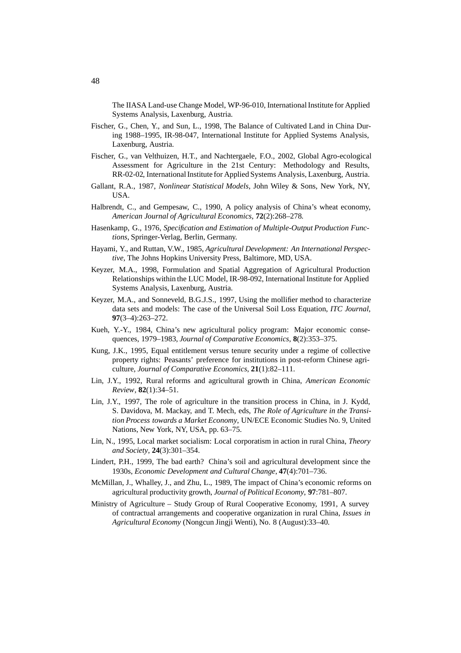The IIASA Land-use Change Model, WP-96-010, International Institute for Applied Systems Analysis, Laxenburg, Austria.

- Fischer, G., Chen, Y., and Sun, L., 1998, The Balance of Cultivated Land in China During 1988–1995, IR-98-047, International Institute for Applied Systems Analysis, Laxenburg, Austria.
- Fischer, G., van Velthuizen, H.T., and Nachtergaele, F.O., 2002, Global Agro-ecological Assessment for Agriculture in the 21st Century: Methodology and Results, RR-02-02, International Institute for Applied Systems Analysis, Laxenburg, Austria.
- Gallant, R.A., 1987, *Nonlinear Statistical Models*, John Wiley & Sons, New York, NY, **IISA**
- Halbrendt, C., and Gempesaw, C., 1990, A policy analysis of China's wheat economy, *American Journal of Agricultural Economics*, **72**(2):268–278.
- Hasenkamp, G., 1976, *Specification and Estimation of Multiple-Output Production Functions*, Springer-Verlag, Berlin, Germany.
- Hayami, Y., and Ruttan, V.W., 1985, *Agricultural Development: An International Perspective*, The Johns Hopkins University Press, Baltimore, MD, USA.
- Keyzer, M.A., 1998, Formulation and Spatial Aggregation of Agricultural Production Relationships within the LUC Model, IR-98-092, International Institute for Applied Systems Analysis, Laxenburg, Austria.
- Keyzer, M.A., and Sonneveld, B.G.J.S., 1997, Using the mollifier method to characterize data sets and models: The case of the Universal Soil Loss Equation, *ITC Journal*, **97**(3–4):263–272.
- Kueh, Y.-Y., 1984, China's new agricultural policy program: Major economic consequences, 1979–1983, *Journal of Comparative Economics*, **8**(2):353–375.
- Kung, J.K., 1995, Equal entitlement versus tenure security under a regime of collective property rights: Peasants' preference for institutions in post-reform Chinese agriculture, *Journal of Comparative Economics*, **21**(1):82–111.
- Lin, J.Y., 1992, Rural reforms and agricultural growth in China, *American Economic Review,* **82**(1):34–51.
- Lin, J.Y., 1997, The role of agriculture in the transition process in China, in J. Kydd, S. Davidova, M. Mackay, and T. Mech, eds, *The Role of Agriculture in the Transition Process towards a Market Economy*, UN/ECE Economic Studies No. 9, United Nations, New York, NY, USA, pp. 63–75.
- Lin, N., 1995, Local market socialism: Local corporatism in action in rural China, *Theory and Society*, **24**(3):301–354.
- Lindert, P.H., 1999, The bad earth? China's soil and agricultural development since the 1930s, *Economic Development and Cultural Change*, **47**(4):701–736.
- McMillan, J., Whalley, J., and Zhu, L., 1989, The impact of China's economic reforms on agricultural productivity growth, *Journal of Political Economy*, **97**:781–807.
- Ministry of Agriculture Study Group of Rural Cooperative Economy, 1991, A survey of contractual arrangements and cooperative organization in rural China, *Issues in Agricultural Economy* (Nongcun Jingji Wenti), No. 8 (August):33–40.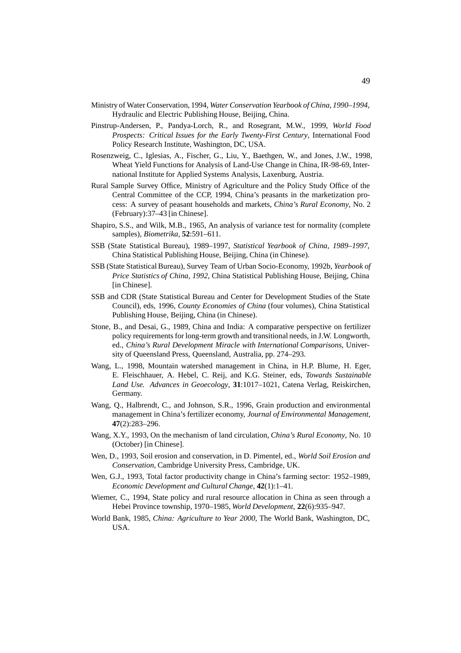- Ministry of Water Conservation, 1994, *Water Conservation Yearbook of China, 1990–1994*, Hydraulic and Electric Publishing House, Beijing, China.
- Pinstrup-Andersen, P., Pandya-Lorch, R., and Rosegrant, M.W., 1999, *World Food Prospects: Critical Issues for the Early Twenty-First Century*, International Food Policy Research Institute, Washington, DC, USA.
- Rosenzweig, C., Iglesias, A., Fischer, G., Liu, Y., Baethgen, W., and Jones, J.W., 1998, Wheat Yield Functions for Analysis of Land-Use Change in China, IR-98-69, International Institute for Applied Systems Analysis, Laxenburg, Austria.
- Rural Sample Survey Office, Ministry of Agriculture and the Policy Study Office of the Central Committee of the CCP, 1994, China's peasants in the marketization process: A survey of peasant households and markets, *China's Rural Economy*, No. 2 (February):37–43 [in Chinese].
- Shapiro, S.S., and Wilk, M.B., 1965, An analysis of variance test for normality (complete samples), *Biometrika*, **52**:591–611.
- SSB (State Statistical Bureau), 1989–1997, *Statistical Yearbook of China, 1989–1997*, China Statistical Publishing House, Beijing, China (in Chinese).
- SSB (State Statistical Bureau), Survey Team of Urban Socio-Economy, 1992b, *Yearbook of Price Statistics of China, 1992*, China Statistical Publishing House, Beijing, China [in Chinese].
- SSB and CDR (State Statistical Bureau and Center for Development Studies of the State Council), eds, 1996, *County Economies of China* (four volumes), China Statistical Publishing House, Beijing, China (in Chinese).
- Stone, B., and Desai, G., 1989, China and India: A comparative perspective on fertilizer policy requirements for long-term growth and transitional needs, in J.W. Longworth, ed., *China's Rural Development Miracle with International Comparisons*, University of Queensland Press, Queensland, Australia, pp. 274–293.
- Wang, L., 1998, Mountain watershed management in China, in H.P. Blume, H. Eger, E. Fleischhauer, A. Hebel, C. Reij, and K.G. Steiner, eds, *Towards Sustainable Land Use. Advances in Geoecology*, **31**:1017–1021, Catena Verlag, Reiskirchen, Germany.
- Wang, Q., Halbrendt, C., and Johnson, S.R., 1996, Grain production and environmental management in China's fertilizer economy, *Journal of Environmental Management*, **47**(2):283–296.
- Wang, X.Y., 1993, On the mechanism of land circulation, *China's Rural Economy*, No. 10 (October) [in Chinese].
- Wen, D., 1993, Soil erosion and conservation, in D. Pimentel, ed., *World Soil Erosion and Conservation*, Cambridge University Press, Cambridge, UK.
- Wen, G.J., 1993, Total factor productivity change in China's farming sector: 1952–1989, *Economic Development and Cultural Change*, **42**(1):1–41.
- Wiemer, C., 1994, State policy and rural resource allocation in China as seen through a Hebei Province township, 1970–1985, *World Development*, **22**(6):935–947.
- World Bank, 1985, *China: Agriculture to Year 2000*, The World Bank, Washington, DC, USA.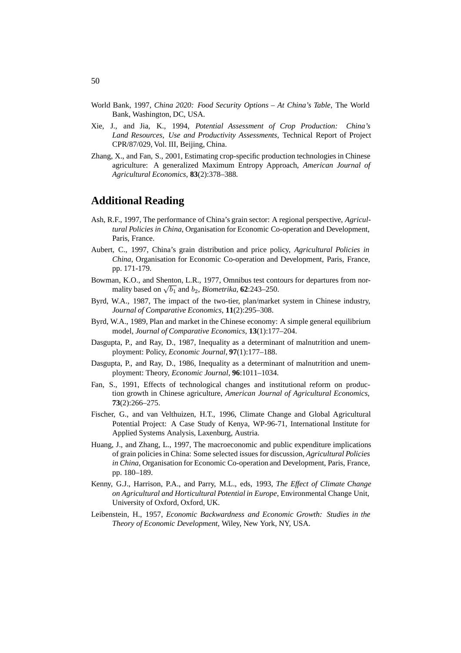- World Bank, 1997, *China 2020: Food Security Options At China's Table*, The World Bank, Washington, DC, USA.
- Xie, J., and Jia, K., 1994, *Potential Assessment of Crop Production: China's Land Resources, Use and Productivity Assessments*, Technical Report of Project CPR/87/029, Vol. III, Beijing, China.
- Zhang, X., and Fan, S., 2001, Estimating crop-specific production technologies in Chinese agriculture: A generalized Maximum Entropy Approach, *American Journal of Agricultural Economics*, **83**(2):378–388.

#### **Additional Reading**

- Ash, R.F., 1997, The performance of China's grain sector: A regional perspective, *Agricultural Policies in China*, Organisation for Economic Co-operation and Development, Paris, France.
- Aubert, C., 1997, China's grain distribution and price policy, *Agricultural Policies in China*, Organisation for Economic Co-operation and Development, Paris, France, pp. 171-179.
- Bowman, K.O., and Shenton, L.R., 1977, Omnibus test contours for departures from normality based on  $\sqrt{b_1}$  and  $b_2$ , *Biometrika*, **62**:243–250.
- Byrd, W.A., 1987, The impact of the two-tier, plan/market system in Chinese industry, *Journal of Comparative Economics*, **11**(2):295–308.
- Byrd, W.A., 1989, Plan and market in the Chinese economy: A simple general equilibrium model, *Journal of Comparative Economics*, **13**(1):177–204.
- Dasgupta, P., and Ray, D., 1987, Inequality as a determinant of malnutrition and unemployment: Policy, *Economic Journal*, **97**(1):177–188.
- Dasgupta, P., and Ray, D., 1986. Inequality as a determinant of malnutrition and unemployment: Theory, *Economic Journal*, **96**:1011–1034.
- Fan, S., 1991, Effects of technological changes and institutional reform on production growth in Chinese agriculture, *American Journal of Agricultural Economics*, **73**(2):266–275.
- Fischer, G., and van Velthuizen, H.T., 1996, Climate Change and Global Agricultural Potential Project: A Case Study of Kenya, WP-96-71, International Institute for Applied Systems Analysis, Laxenburg, Austria.
- Huang, J., and Zhang, L., 1997, The macroeconomic and public expenditure implications of grain policies in China: Some selected issues for discussion, *Agricultural Policies in China*, Organisation for Economic Co-operation and Development, Paris, France, pp. 180–189.
- Kenny, G.J., Harrison, P.A., and Parry, M.L., eds, 1993, *The Effect of Climate Change on Agricultural and Horticultural Potential in Europe*, Environmental Change Unit, University of Oxford, Oxford, UK.
- Leibenstein, H., 1957, *Economic Backwardness and Economic Growth: Studies in the Theory of Economic Development*, Wiley, New York, NY, USA.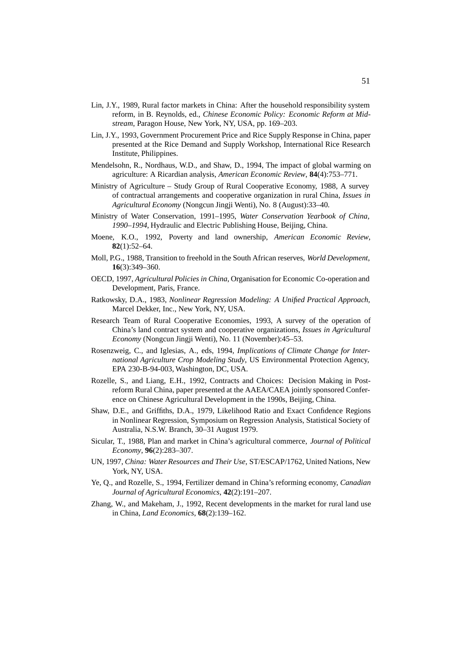- Lin, J.Y., 1989, Rural factor markets in China: After the household responsibility system reform, in B. Reynolds, ed., *Chinese Economic Policy: Economic Reform at Midstream*, Paragon House, New York, NY, USA, pp. 169–203.
- Lin, J.Y., 1993, Government Procurement Price and Rice Supply Response in China, paper presented at the Rice Demand and Supply Workshop, International Rice Research Institute, Philippines.
- Mendelsohn, R., Nordhaus, W.D., and Shaw, D., 1994, The impact of global warming on agriculture: A Ricardian analysis, *American Economic Review*, **84**(4):753–771.
- Ministry of Agriculture Study Group of Rural Cooperative Economy, 1988, A survey of contractual arrangements and cooperative organization in rural China, *Issues in Agricultural Economy* (Nongcun Jingji Wenti), No. 8 (August):33–40.
- Ministry of Water Conservation, 1991–1995, *Water Conservation Yearbook of China, 1990–1994*, Hydraulic and Electric Publishing House, Beijing, China.
- Moene, K.O., 1992, Poverty and land ownership, *American Economic Review*, **82**(1):52–64.
- Moll, P.G., 1988, Transition to freehold in the South African reserves, *World Development*, **16**(3):349–360.
- OECD, 1997, *Agricultural Policies in China*, Organisation for Economic Co-operation and Development, Paris, France.
- Ratkowsky, D.A., 1983, *Nonlinear Regression Modeling: A Unified Practical Approach*, Marcel Dekker, Inc., New York, NY, USA.
- Research Team of Rural Cooperative Economies, 1993, A survey of the operation of China's land contract system and cooperative organizations, *Issues in Agricultural Economy* (Nongcun Jingji Wenti), No. 11 (November):45–53.
- Rosenzweig, C., and Iglesias, A., eds, 1994, *Implications of Climate Change for International Agriculture Crop Modeling Study*, US Environmental Protection Agency, EPA 230-B-94-003, Washington, DC, USA.
- Rozelle, S., and Liang, E.H., 1992, Contracts and Choices: Decision Making in Postreform Rural China, paper presented at the AAEA/CAEA jointly sponsored Conference on Chinese Agricultural Development in the 1990s, Beijing, China.
- Shaw, D.E., and Griffiths, D.A., 1979, Likelihood Ratio and Exact Confidence Regions in Nonlinear Regression, Symposium on Regression Analysis, Statistical Society of Australia, N.S.W. Branch, 30–31 August 1979.
- Sicular, T., 1988, Plan and market in China's agricultural commerce, *Journal of Political Economy*, **96**(2):283–307.
- UN, 1997, *China: Water Resources and Their Use*, ST/ESCAP/1762, United Nations, New York, NY, USA.
- Ye, Q., and Rozelle, S., 1994, Fertilizer demand in China's reforming economy, *Canadian Journal of Agricultural Economics*, **42**(2):191–207.
- Zhang, W., and Makeham, J., 1992, Recent developments in the market for rural land use in China, *Land Economics*, **68**(2):139–162.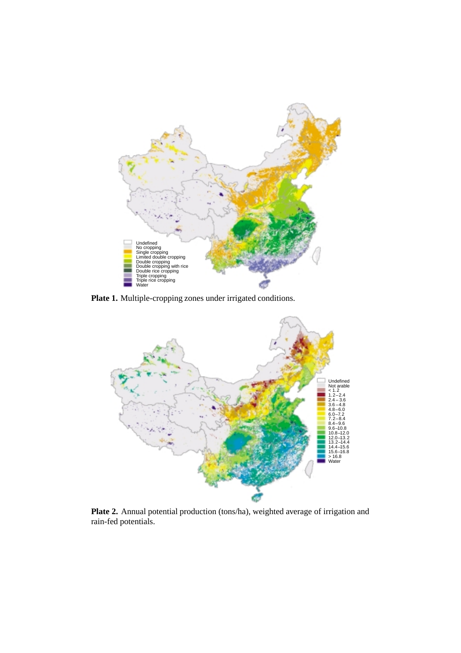

**Plate 1.** Multiple-cropping zones under irrigated conditions.



**Plate 2.** Annual potential production (tons/ha), weighted average of irrigation and rain-fed potentials.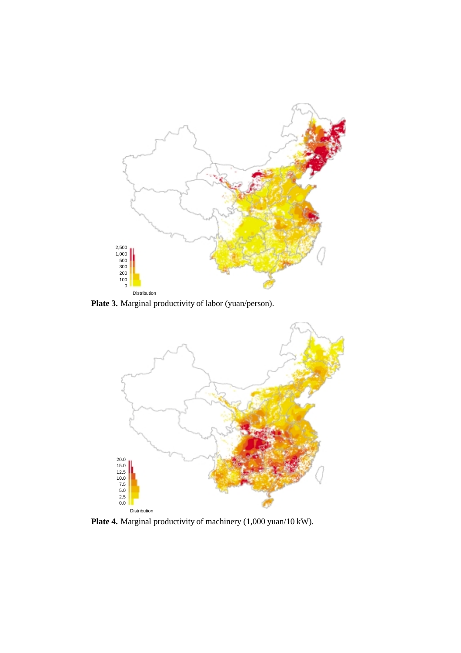

Plate 3. Marginal productivity of labor (yuan/person).



**Plate 4.** Marginal productivity of machinery (1,000 yuan/10 kW).